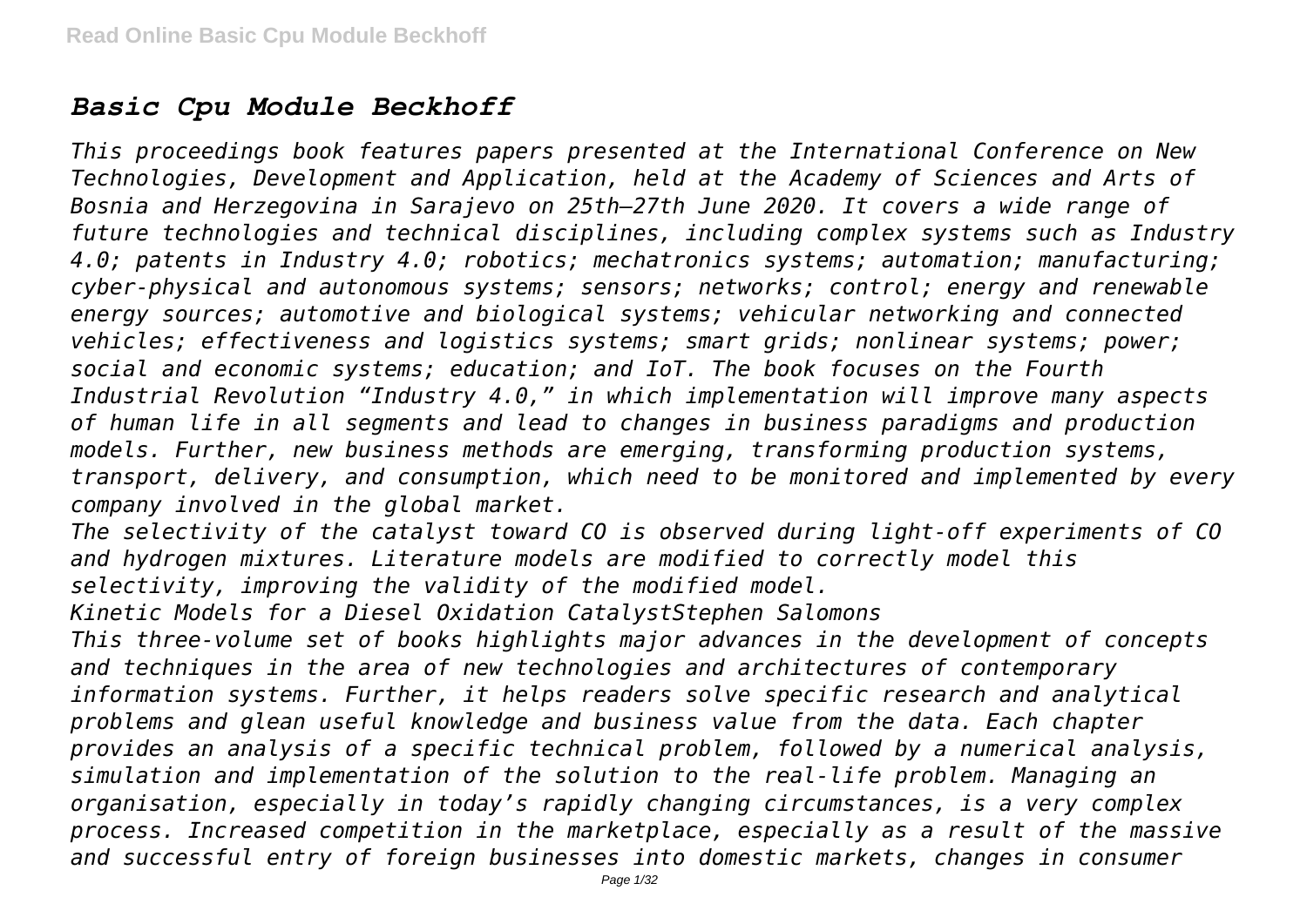# *Basic Cpu Module Beckhoff*

*This proceedings book features papers presented at the International Conference on New Technologies, Development and Application, held at the Academy of Sciences and Arts of Bosnia and Herzegovina in Sarajevo on 25th–27th June 2020. It covers a wide range of future technologies and technical disciplines, including complex systems such as Industry 4.0; patents in Industry 4.0; robotics; mechatronics systems; automation; manufacturing; cyber-physical and autonomous systems; sensors; networks; control; energy and renewable energy sources; automotive and biological systems; vehicular networking and connected vehicles; effectiveness and logistics systems; smart grids; nonlinear systems; power; social and economic systems; education; and IoT. The book focuses on the Fourth Industrial Revolution "Industry 4.0," in which implementation will improve many aspects of human life in all segments and lead to changes in business paradigms and production models. Further, new business methods are emerging, transforming production systems, transport, delivery, and consumption, which need to be monitored and implemented by every company involved in the global market.*

*The selectivity of the catalyst toward CO is observed during light-off experiments of CO and hydrogen mixtures. Literature models are modified to correctly model this selectivity, improving the validity of the modified model.*

*Kinetic Models for a Diesel Oxidation CatalystStephen Salomons*

*This three-volume set of books highlights major advances in the development of concepts and techniques in the area of new technologies and architectures of contemporary information systems. Further, it helps readers solve specific research and analytical problems and glean useful knowledge and business value from the data. Each chapter provides an analysis of a specific technical problem, followed by a numerical analysis, simulation and implementation of the solution to the real-life problem. Managing an organisation, especially in today's rapidly changing circumstances, is a very complex process. Increased competition in the marketplace, especially as a result of the massive and successful entry of foreign businesses into domestic markets, changes in consumer*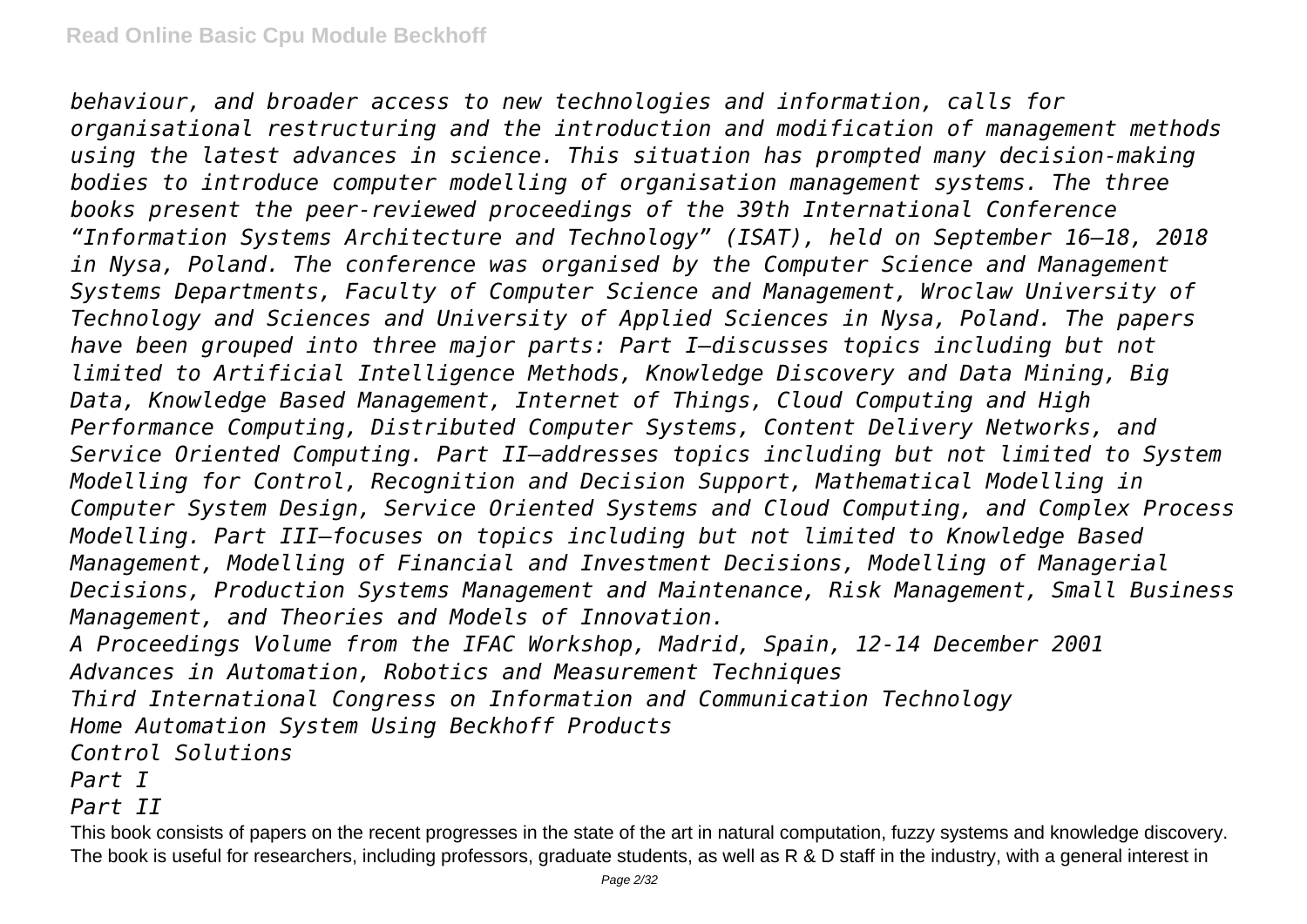*behaviour, and broader access to new technologies and information, calls for organisational restructuring and the introduction and modification of management methods using the latest advances in science. This situation has prompted many decision-making bodies to introduce computer modelling of organisation management systems. The three books present the peer-reviewed proceedings of the 39th International Conference "Information Systems Architecture and Technology" (ISAT), held on September 16–18, 2018 in Nysa, Poland. The conference was organised by the Computer Science and Management Systems Departments, Faculty of Computer Science and Management, Wroclaw University of Technology and Sciences and University of Applied Sciences in Nysa, Poland. The papers have been grouped into three major parts: Part I—discusses topics including but not limited to Artificial Intelligence Methods, Knowledge Discovery and Data Mining, Big Data, Knowledge Based Management, Internet of Things, Cloud Computing and High Performance Computing, Distributed Computer Systems, Content Delivery Networks, and Service Oriented Computing. Part II—addresses topics including but not limited to System Modelling for Control, Recognition and Decision Support, Mathematical Modelling in Computer System Design, Service Oriented Systems and Cloud Computing, and Complex Process Modelling. Part III—focuses on topics including but not limited to Knowledge Based Management, Modelling of Financial and Investment Decisions, Modelling of Managerial Decisions, Production Systems Management and Maintenance, Risk Management, Small Business Management, and Theories and Models of Innovation. A Proceedings Volume from the IFAC Workshop, Madrid, Spain, 12-14 December 2001 Advances in Automation, Robotics and Measurement Techniques Third International Congress on Information and Communication Technology Home Automation System Using Beckhoff Products*

*Control Solutions*

*Part I*

*Part II*

This book consists of papers on the recent progresses in the state of the art in natural computation, fuzzy systems and knowledge discovery. The book is useful for researchers, including professors, graduate students, as well as R & D staff in the industry, with a general interest in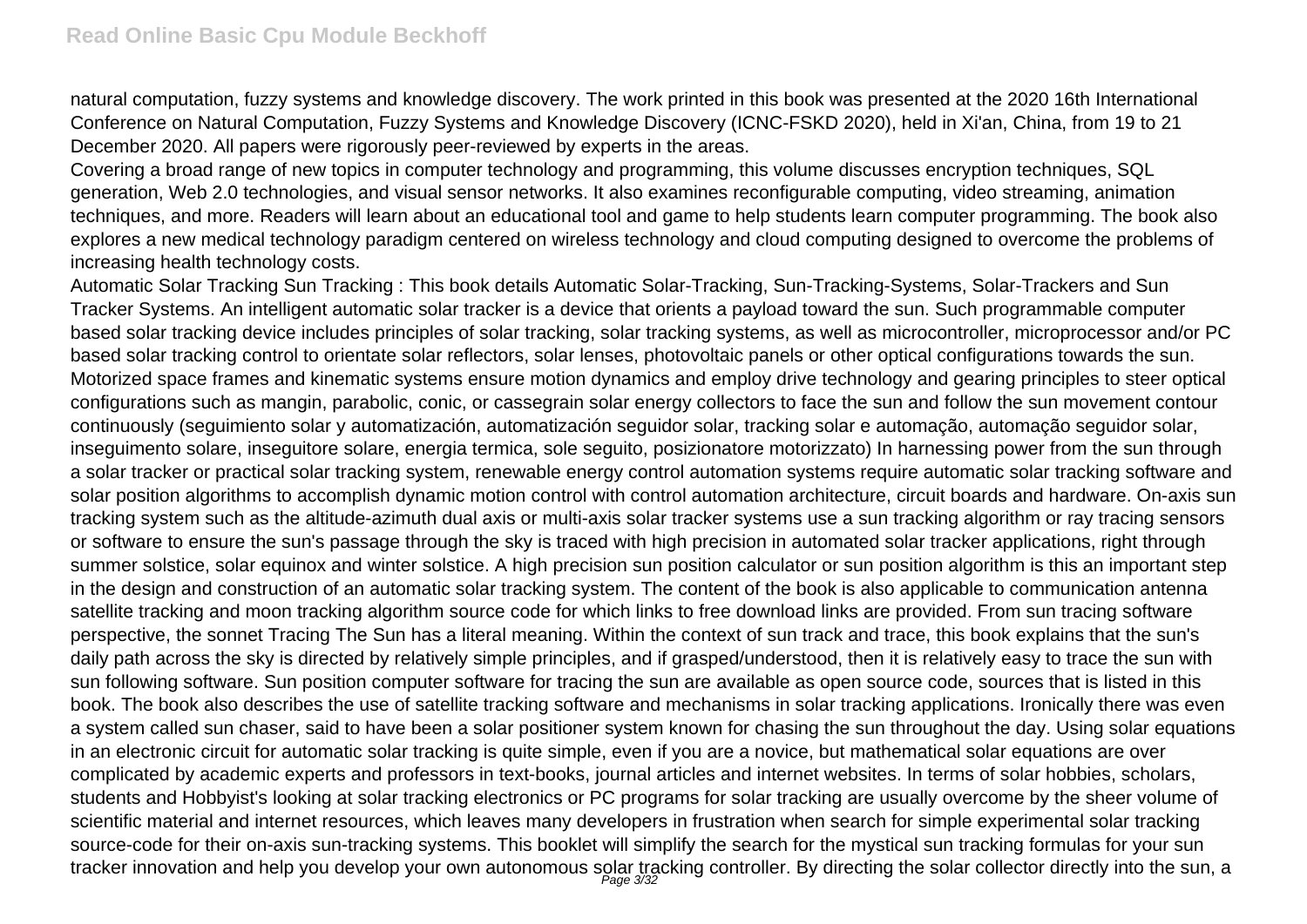natural computation, fuzzy systems and knowledge discovery. The work printed in this book was presented at the 2020 16th International Conference on Natural Computation, Fuzzy Systems and Knowledge Discovery (ICNC-FSKD 2020), held in Xi'an, China, from 19 to 21 December 2020. All papers were rigorously peer-reviewed by experts in the areas.

Covering a broad range of new topics in computer technology and programming, this volume discusses encryption techniques, SQL generation, Web 2.0 technologies, and visual sensor networks. It also examines reconfigurable computing, video streaming, animation techniques, and more. Readers will learn about an educational tool and game to help students learn computer programming. The book also explores a new medical technology paradigm centered on wireless technology and cloud computing designed to overcome the problems of increasing health technology costs.

Automatic Solar Tracking Sun Tracking : This book details Automatic Solar-Tracking, Sun-Tracking-Systems, Solar-Trackers and Sun Tracker Systems. An intelligent automatic solar tracker is a device that orients a payload toward the sun. Such programmable computer based solar tracking device includes principles of solar tracking, solar tracking systems, as well as microcontroller, microprocessor and/or PC based solar tracking control to orientate solar reflectors, solar lenses, photovoltaic panels or other optical configurations towards the sun. Motorized space frames and kinematic systems ensure motion dynamics and employ drive technology and gearing principles to steer optical configurations such as mangin, parabolic, conic, or cassegrain solar energy collectors to face the sun and follow the sun movement contour continuously (seguimiento solar y automatización, automatización seguidor solar, tracking solar e automação, automação seguidor solar, inseguimento solare, inseguitore solare, energia termica, sole seguito, posizionatore motorizzato) In harnessing power from the sun through a solar tracker or practical solar tracking system, renewable energy control automation systems require automatic solar tracking software and solar position algorithms to accomplish dynamic motion control with control automation architecture, circuit boards and hardware. On-axis sun tracking system such as the altitude-azimuth dual axis or multi-axis solar tracker systems use a sun tracking algorithm or ray tracing sensors or software to ensure the sun's passage through the sky is traced with high precision in automated solar tracker applications, right through summer solstice, solar equinox and winter solstice. A high precision sun position calculator or sun position algorithm is this an important step in the design and construction of an automatic solar tracking system. The content of the book is also applicable to communication antenna satellite tracking and moon tracking algorithm source code for which links to free download links are provided. From sun tracing software perspective, the sonnet Tracing The Sun has a literal meaning. Within the context of sun track and trace, this book explains that the sun's daily path across the sky is directed by relatively simple principles, and if grasped/understood, then it is relatively easy to trace the sun with sun following software. Sun position computer software for tracing the sun are available as open source code, sources that is listed in this book. The book also describes the use of satellite tracking software and mechanisms in solar tracking applications. Ironically there was even a system called sun chaser, said to have been a solar positioner system known for chasing the sun throughout the day. Using solar equations in an electronic circuit for automatic solar tracking is quite simple, even if you are a novice, but mathematical solar equations are over complicated by academic experts and professors in text-books, journal articles and internet websites. In terms of solar hobbies, scholars, students and Hobbyist's looking at solar tracking electronics or PC programs for solar tracking are usually overcome by the sheer volume of scientific material and internet resources, which leaves many developers in frustration when search for simple experimental solar tracking source-code for their on-axis sun-tracking systems. This booklet will simplify the search for the mystical sun tracking formulas for your sun tracker innovation and help you develop your own autonomous solar tracking controller. By directing the solar collector directly into the sun, a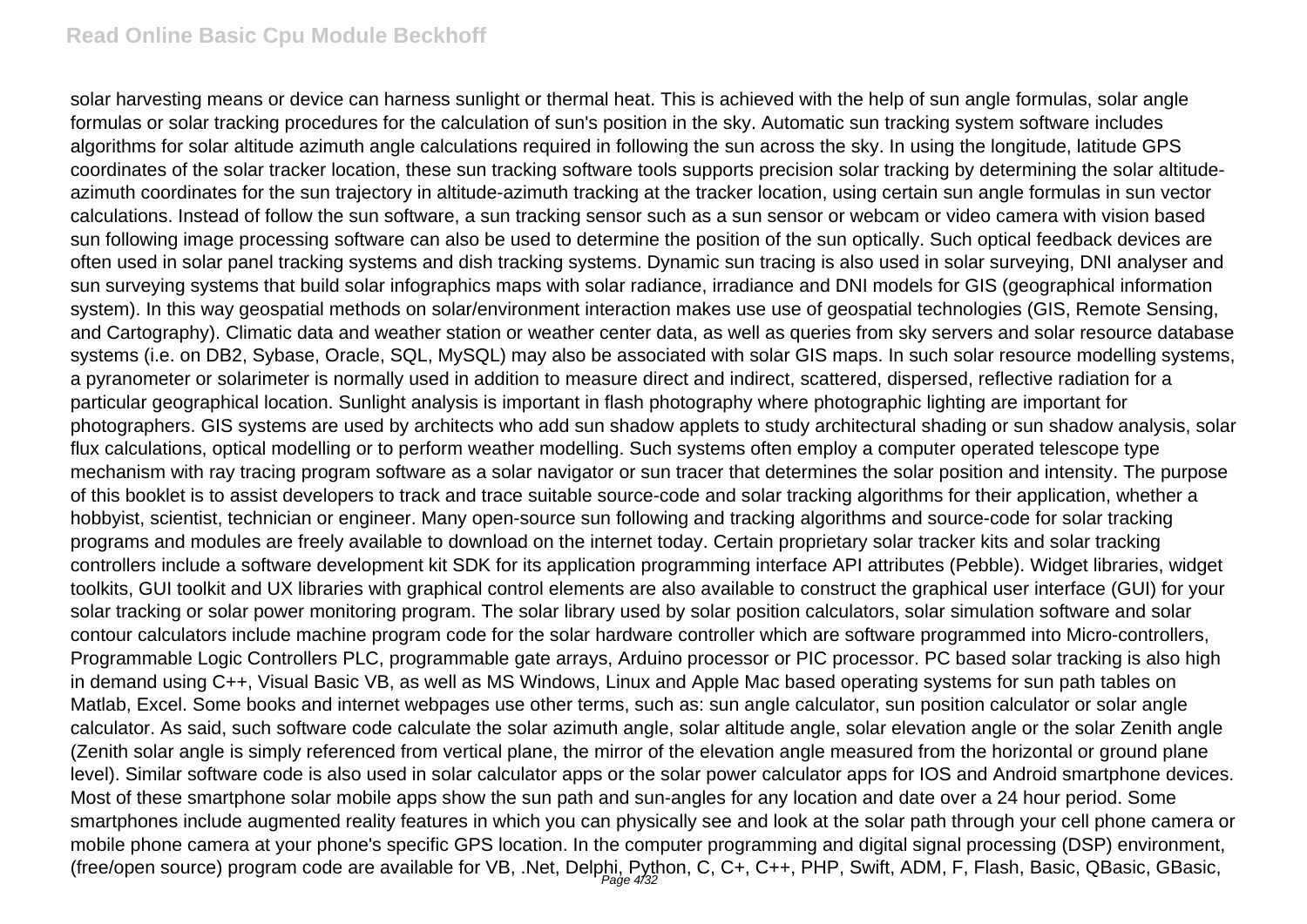#### **Read Online Basic Cpu Module Beckhoff**

solar harvesting means or device can harness sunlight or thermal heat. This is achieved with the help of sun angle formulas, solar angle formulas or solar tracking procedures for the calculation of sun's position in the sky. Automatic sun tracking system software includes algorithms for solar altitude azimuth angle calculations required in following the sun across the sky. In using the longitude, latitude GPS coordinates of the solar tracker location, these sun tracking software tools supports precision solar tracking by determining the solar altitudeazimuth coordinates for the sun trajectory in altitude-azimuth tracking at the tracker location, using certain sun angle formulas in sun vector calculations. Instead of follow the sun software, a sun tracking sensor such as a sun sensor or webcam or video camera with vision based sun following image processing software can also be used to determine the position of the sun optically. Such optical feedback devices are often used in solar panel tracking systems and dish tracking systems. Dynamic sun tracing is also used in solar surveying, DNI analyser and sun surveying systems that build solar infographics maps with solar radiance, irradiance and DNI models for GIS (geographical information system). In this way geospatial methods on solar/environment interaction makes use use of geospatial technologies (GIS, Remote Sensing, and Cartography). Climatic data and weather station or weather center data, as well as queries from sky servers and solar resource database systems (i.e. on DB2, Sybase, Oracle, SQL, MySQL) may also be associated with solar GIS maps. In such solar resource modelling systems, a pyranometer or solarimeter is normally used in addition to measure direct and indirect, scattered, dispersed, reflective radiation for a particular geographical location. Sunlight analysis is important in flash photography where photographic lighting are important for photographers. GIS systems are used by architects who add sun shadow applets to study architectural shading or sun shadow analysis, solar flux calculations, optical modelling or to perform weather modelling. Such systems often employ a computer operated telescope type mechanism with ray tracing program software as a solar navigator or sun tracer that determines the solar position and intensity. The purpose of this booklet is to assist developers to track and trace suitable source-code and solar tracking algorithms for their application, whether a hobbyist, scientist, technician or engineer. Many open-source sun following and tracking algorithms and source-code for solar tracking programs and modules are freely available to download on the internet today. Certain proprietary solar tracker kits and solar tracking controllers include a software development kit SDK for its application programming interface API attributes (Pebble). Widget libraries, widget toolkits, GUI toolkit and UX libraries with graphical control elements are also available to construct the graphical user interface (GUI) for your solar tracking or solar power monitoring program. The solar library used by solar position calculators, solar simulation software and solar contour calculators include machine program code for the solar hardware controller which are software programmed into Micro-controllers, Programmable Logic Controllers PLC, programmable gate arrays, Arduino processor or PIC processor. PC based solar tracking is also high in demand using C++, Visual Basic VB, as well as MS Windows, Linux and Apple Mac based operating systems for sun path tables on Matlab, Excel. Some books and internet webpages use other terms, such as: sun angle calculator, sun position calculator or solar angle calculator. As said, such software code calculate the solar azimuth angle, solar altitude angle, solar elevation angle or the solar Zenith angle (Zenith solar angle is simply referenced from vertical plane, the mirror of the elevation angle measured from the horizontal or ground plane level). Similar software code is also used in solar calculator apps or the solar power calculator apps for IOS and Android smartphone devices. Most of these smartphone solar mobile apps show the sun path and sun-angles for any location and date over a 24 hour period. Some smartphones include augmented reality features in which you can physically see and look at the solar path through your cell phone camera or mobile phone camera at your phone's specific GPS location. In the computer programming and digital signal processing (DSP) environment, (free/open source) program code are available for VB, .Net, Delphi, Python, C, C+, C++, PHP, Swift, ADM, F, Flash, Basic, QBasic, GBasic,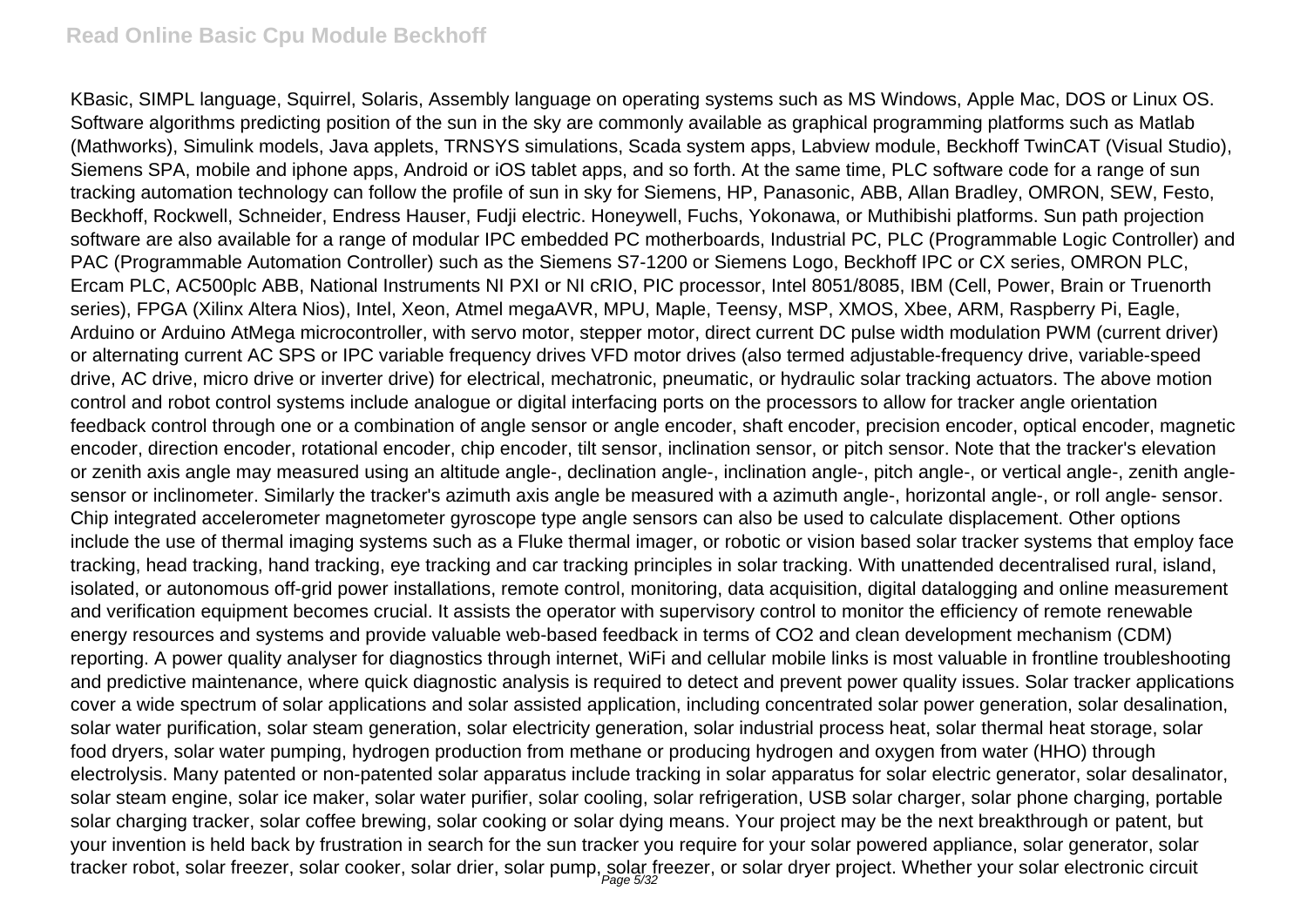KBasic, SIMPL language, Squirrel, Solaris, Assembly language on operating systems such as MS Windows, Apple Mac, DOS or Linux OS. Software algorithms predicting position of the sun in the sky are commonly available as graphical programming platforms such as Matlab (Mathworks), Simulink models, Java applets, TRNSYS simulations, Scada system apps, Labview module, Beckhoff TwinCAT (Visual Studio), Siemens SPA, mobile and iphone apps, Android or iOS tablet apps, and so forth. At the same time, PLC software code for a range of sun tracking automation technology can follow the profile of sun in sky for Siemens, HP, Panasonic, ABB, Allan Bradley, OMRON, SEW, Festo, Beckhoff, Rockwell, Schneider, Endress Hauser, Fudji electric. Honeywell, Fuchs, Yokonawa, or Muthibishi platforms. Sun path projection software are also available for a range of modular IPC embedded PC motherboards, Industrial PC, PLC (Programmable Logic Controller) and PAC (Programmable Automation Controller) such as the Siemens S7-1200 or Siemens Logo, Beckhoff IPC or CX series, OMRON PLC, Ercam PLC, AC500plc ABB, National Instruments NI PXI or NI cRIO, PIC processor, Intel 8051/8085, IBM (Cell, Power, Brain or Truenorth series), FPGA (Xilinx Altera Nios), Intel, Xeon, Atmel megaAVR, MPU, Maple, Teensy, MSP, XMOS, Xbee, ARM, Raspberry Pi, Eagle, Arduino or Arduino AtMega microcontroller, with servo motor, stepper motor, direct current DC pulse width modulation PWM (current driver) or alternating current AC SPS or IPC variable frequency drives VFD motor drives (also termed adjustable-frequency drive, variable-speed drive, AC drive, micro drive or inverter drive) for electrical, mechatronic, pneumatic, or hydraulic solar tracking actuators. The above motion control and robot control systems include analogue or digital interfacing ports on the processors to allow for tracker angle orientation feedback control through one or a combination of angle sensor or angle encoder, shaft encoder, precision encoder, optical encoder, magnetic encoder, direction encoder, rotational encoder, chip encoder, tilt sensor, inclination sensor, or pitch sensor. Note that the tracker's elevation or zenith axis angle may measured using an altitude angle-, declination angle-, inclination angle-, pitch angle-, or vertical angle-, zenith anglesensor or inclinometer. Similarly the tracker's azimuth axis angle be measured with a azimuth angle-, horizontal angle-, or roll angle- sensor. Chip integrated accelerometer magnetometer gyroscope type angle sensors can also be used to calculate displacement. Other options include the use of thermal imaging systems such as a Fluke thermal imager, or robotic or vision based solar tracker systems that employ face tracking, head tracking, hand tracking, eye tracking and car tracking principles in solar tracking. With unattended decentralised rural, island, isolated, or autonomous off-grid power installations, remote control, monitoring, data acquisition, digital datalogging and online measurement and verification equipment becomes crucial. It assists the operator with supervisory control to monitor the efficiency of remote renewable energy resources and systems and provide valuable web-based feedback in terms of CO2 and clean development mechanism (CDM) reporting. A power quality analyser for diagnostics through internet, WiFi and cellular mobile links is most valuable in frontline troubleshooting and predictive maintenance, where quick diagnostic analysis is required to detect and prevent power quality issues. Solar tracker applications cover a wide spectrum of solar applications and solar assisted application, including concentrated solar power generation, solar desalination, solar water purification, solar steam generation, solar electricity generation, solar industrial process heat, solar thermal heat storage, solar food dryers, solar water pumping, hydrogen production from methane or producing hydrogen and oxygen from water (HHO) through electrolysis. Many patented or non-patented solar apparatus include tracking in solar apparatus for solar electric generator, solar desalinator, solar steam engine, solar ice maker, solar water purifier, solar cooling, solar refrigeration, USB solar charger, solar phone charging, portable solar charging tracker, solar coffee brewing, solar cooking or solar dying means. Your project may be the next breakthrough or patent, but your invention is held back by frustration in search for the sun tracker you require for your solar powered appliance, solar generator, solar tracker robot, solar freezer, solar cooker, solar drier, solar pump, solar freezer, or solar dryer project. Whether your solar electronic circuit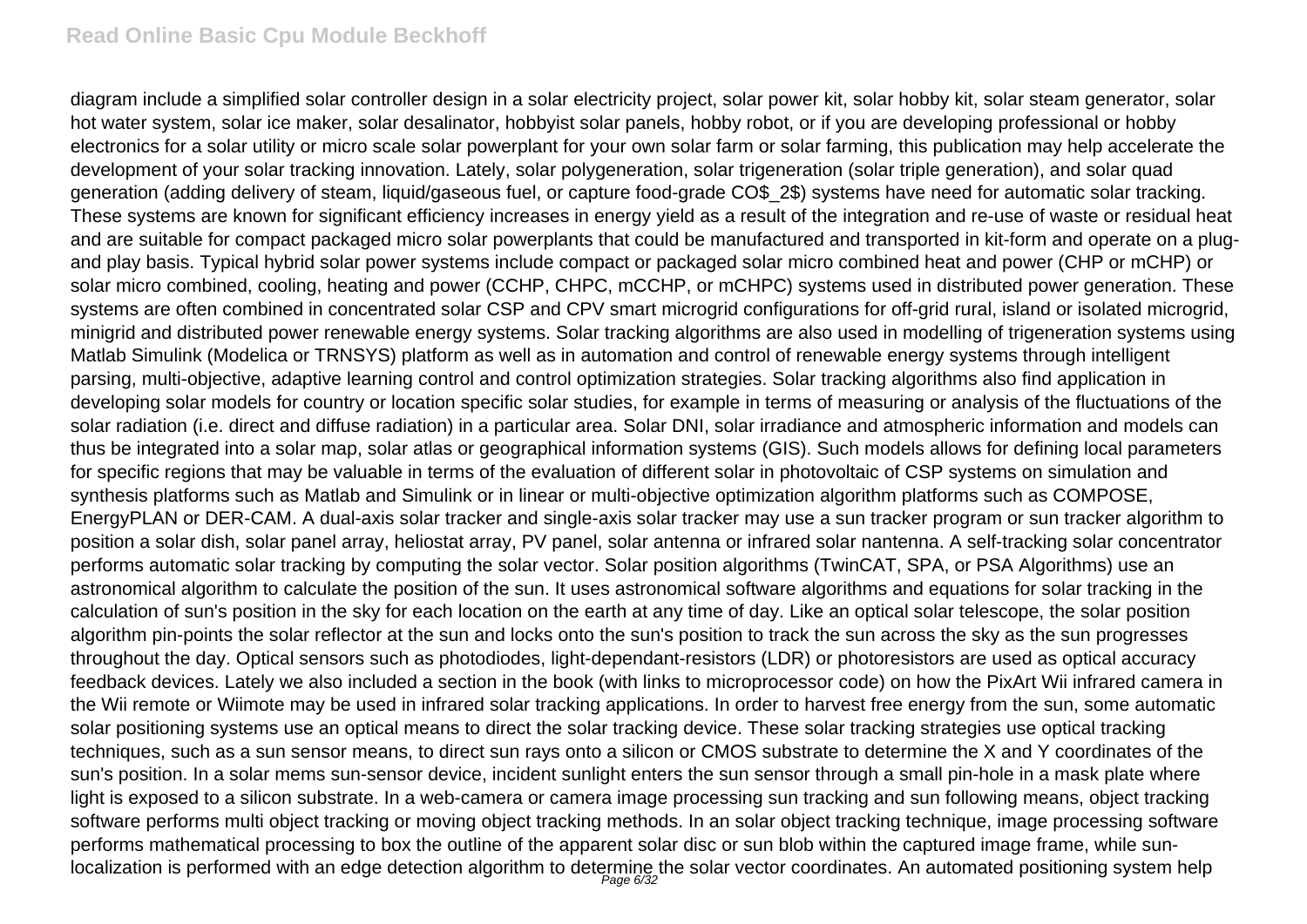#### **Read Online Basic Cpu Module Beckhoff**

diagram include a simplified solar controller design in a solar electricity project, solar power kit, solar hobby kit, solar steam generator, solar hot water system, solar ice maker, solar desalinator, hobbyist solar panels, hobby robot, or if you are developing professional or hobby electronics for a solar utility or micro scale solar powerplant for your own solar farm or solar farming, this publication may help accelerate the development of your solar tracking innovation. Lately, solar polygeneration, solar trigeneration (solar triple generation), and solar quad generation (adding delivery of steam, liquid/gaseous fuel, or capture food-grade CO\$\_2\$) systems have need for automatic solar tracking. These systems are known for significant efficiency increases in energy yield as a result of the integration and re-use of waste or residual heat and are suitable for compact packaged micro solar powerplants that could be manufactured and transported in kit-form and operate on a plugand play basis. Typical hybrid solar power systems include compact or packaged solar micro combined heat and power (CHP or mCHP) or solar micro combined, cooling, heating and power (CCHP, CHPC, mCCHP, or mCHPC) systems used in distributed power generation. These systems are often combined in concentrated solar CSP and CPV smart microgrid configurations for off-grid rural, island or isolated microgrid, minigrid and distributed power renewable energy systems. Solar tracking algorithms are also used in modelling of trigeneration systems using Matlab Simulink (Modelica or TRNSYS) platform as well as in automation and control of renewable energy systems through intelligent parsing, multi-objective, adaptive learning control and control optimization strategies. Solar tracking algorithms also find application in developing solar models for country or location specific solar studies, for example in terms of measuring or analysis of the fluctuations of the solar radiation (i.e. direct and diffuse radiation) in a particular area. Solar DNI, solar irradiance and atmospheric information and models can thus be integrated into a solar map, solar atlas or geographical information systems (GIS). Such models allows for defining local parameters for specific regions that may be valuable in terms of the evaluation of different solar in photovoltaic of CSP systems on simulation and synthesis platforms such as Matlab and Simulink or in linear or multi-objective optimization algorithm platforms such as COMPOSE, EnergyPLAN or DER-CAM. A dual-axis solar tracker and single-axis solar tracker may use a sun tracker program or sun tracker algorithm to position a solar dish, solar panel array, heliostat array, PV panel, solar antenna or infrared solar nantenna. A self-tracking solar concentrator performs automatic solar tracking by computing the solar vector. Solar position algorithms (TwinCAT, SPA, or PSA Algorithms) use an astronomical algorithm to calculate the position of the sun. It uses astronomical software algorithms and equations for solar tracking in the calculation of sun's position in the sky for each location on the earth at any time of day. Like an optical solar telescope, the solar position algorithm pin-points the solar reflector at the sun and locks onto the sun's position to track the sun across the sky as the sun progresses throughout the day. Optical sensors such as photodiodes, light-dependant-resistors (LDR) or photoresistors are used as optical accuracy feedback devices. Lately we also included a section in the book (with links to microprocessor code) on how the PixArt Wii infrared camera in the Wii remote or Wiimote may be used in infrared solar tracking applications. In order to harvest free energy from the sun, some automatic solar positioning systems use an optical means to direct the solar tracking device. These solar tracking strategies use optical tracking techniques, such as a sun sensor means, to direct sun rays onto a silicon or CMOS substrate to determine the X and Y coordinates of the sun's position. In a solar mems sun-sensor device, incident sunlight enters the sun sensor through a small pin-hole in a mask plate where light is exposed to a silicon substrate. In a web-camera or camera image processing sun tracking and sun following means, object tracking software performs multi object tracking or moving object tracking methods. In an solar object tracking technique, image processing software performs mathematical processing to box the outline of the apparent solar disc or sun blob within the captured image frame, while sunlocalization is performed with an edge detection algorithm to determine the solar vector coordinates. An automated positioning system help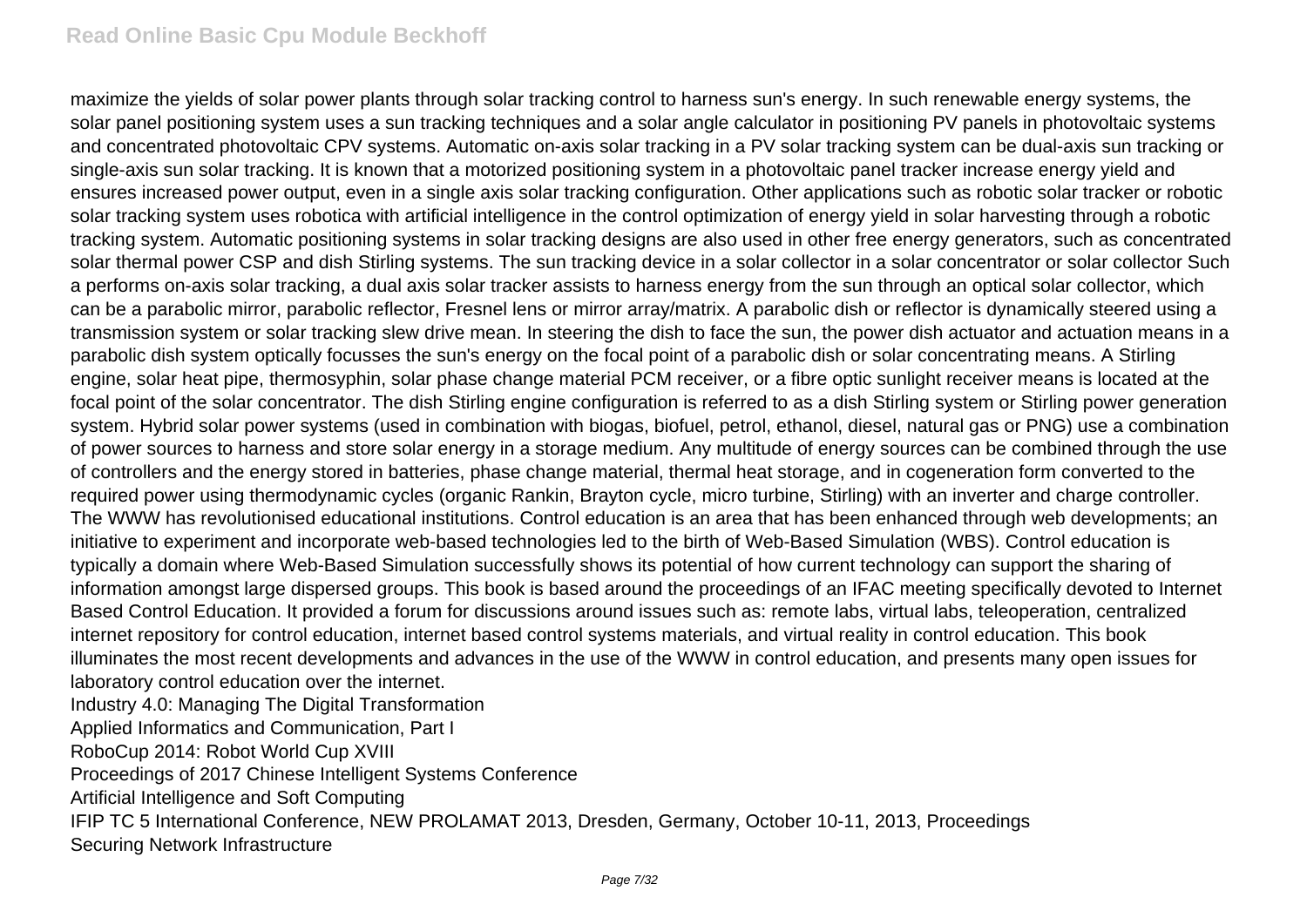maximize the yields of solar power plants through solar tracking control to harness sun's energy. In such renewable energy systems, the solar panel positioning system uses a sun tracking techniques and a solar angle calculator in positioning PV panels in photovoltaic systems and concentrated photovoltaic CPV systems. Automatic on-axis solar tracking in a PV solar tracking system can be dual-axis sun tracking or single-axis sun solar tracking. It is known that a motorized positioning system in a photovoltaic panel tracker increase energy yield and ensures increased power output, even in a single axis solar tracking configuration. Other applications such as robotic solar tracker or robotic solar tracking system uses robotica with artificial intelligence in the control optimization of energy yield in solar harvesting through a robotic tracking system. Automatic positioning systems in solar tracking designs are also used in other free energy generators, such as concentrated solar thermal power CSP and dish Stirling systems. The sun tracking device in a solar collector in a solar concentrator or solar collector Such a performs on-axis solar tracking, a dual axis solar tracker assists to harness energy from the sun through an optical solar collector, which can be a parabolic mirror, parabolic reflector, Fresnel lens or mirror array/matrix. A parabolic dish or reflector is dynamically steered using a transmission system or solar tracking slew drive mean. In steering the dish to face the sun, the power dish actuator and actuation means in a parabolic dish system optically focusses the sun's energy on the focal point of a parabolic dish or solar concentrating means. A Stirling engine, solar heat pipe, thermosyphin, solar phase change material PCM receiver, or a fibre optic sunlight receiver means is located at the focal point of the solar concentrator. The dish Stirling engine configuration is referred to as a dish Stirling system or Stirling power generation system. Hybrid solar power systems (used in combination with biogas, biofuel, petrol, ethanol, diesel, natural gas or PNG) use a combination of power sources to harness and store solar energy in a storage medium. Any multitude of energy sources can be combined through the use of controllers and the energy stored in batteries, phase change material, thermal heat storage, and in cogeneration form converted to the required power using thermodynamic cycles (organic Rankin, Brayton cycle, micro turbine, Stirling) with an inverter and charge controller. The WWW has revolutionised educational institutions. Control education is an area that has been enhanced through web developments; an initiative to experiment and incorporate web-based technologies led to the birth of Web-Based Simulation (WBS). Control education is typically a domain where Web-Based Simulation successfully shows its potential of how current technology can support the sharing of information amongst large dispersed groups. This book is based around the proceedings of an IFAC meeting specifically devoted to Internet Based Control Education. It provided a forum for discussions around issues such as: remote labs, virtual labs, teleoperation, centralized internet repository for control education, internet based control systems materials, and virtual reality in control education. This book illuminates the most recent developments and advances in the use of the WWW in control education, and presents many open issues for laboratory control education over the internet. Industry 4.0: Managing The Digital Transformation Applied Informatics and Communication, Part I

RoboCup 2014: Robot World Cup XVIII

Proceedings of 2017 Chinese Intelligent Systems Conference

Artificial Intelligence and Soft Computing

IFIP TC 5 International Conference, NEW PROLAMAT 2013, Dresden, Germany, October 10-11, 2013, Proceedings Securing Network Infrastructure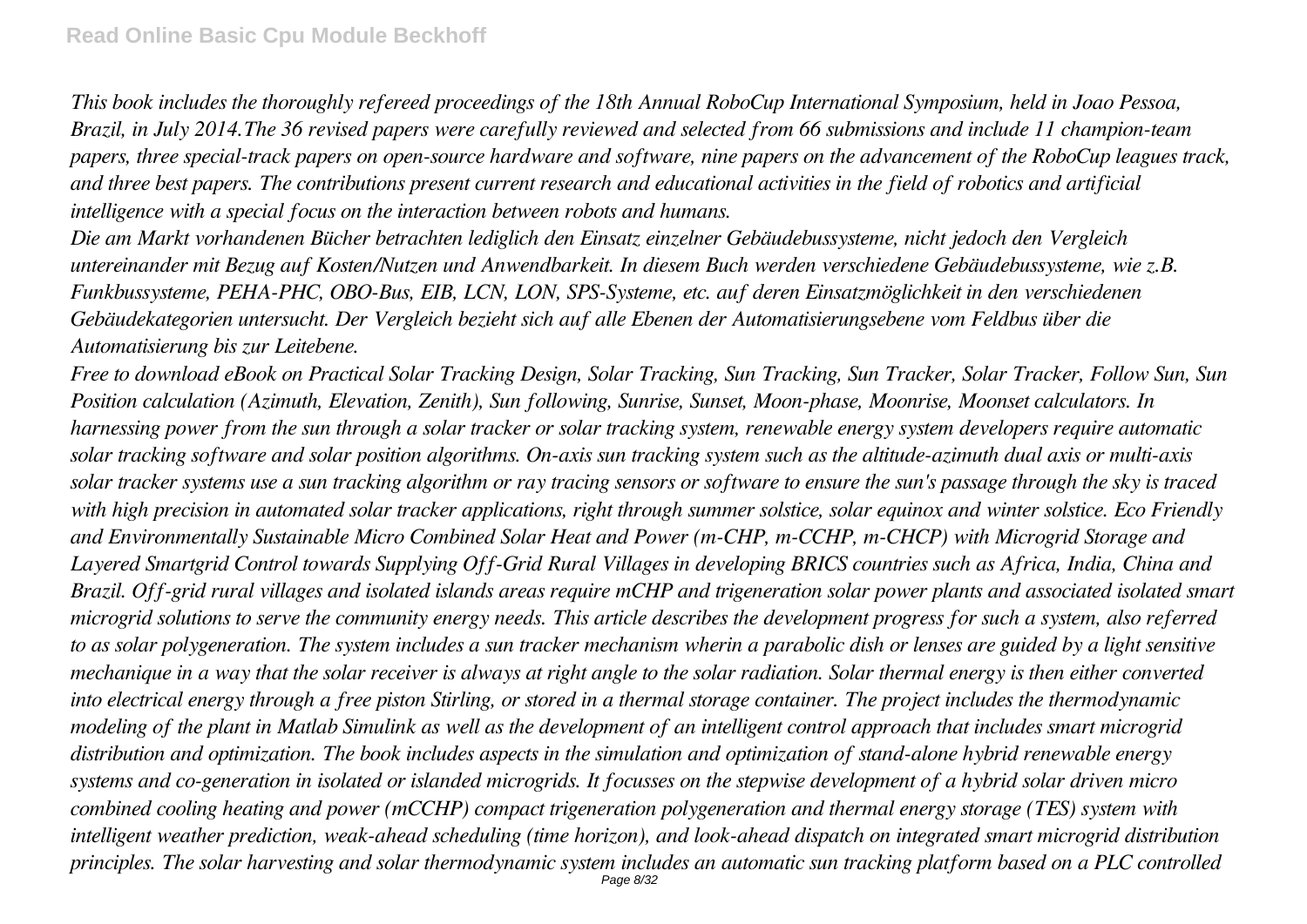*This book includes the thoroughly refereed proceedings of the 18th Annual RoboCup International Symposium, held in Joao Pessoa, Brazil, in July 2014.The 36 revised papers were carefully reviewed and selected from 66 submissions and include 11 champion-team papers, three special-track papers on open-source hardware and software, nine papers on the advancement of the RoboCup leagues track, and three best papers. The contributions present current research and educational activities in the field of robotics and artificial intelligence with a special focus on the interaction between robots and humans.*

*Die am Markt vorhandenen Bücher betrachten lediglich den Einsatz einzelner Gebäudebussysteme, nicht jedoch den Vergleich untereinander mit Bezug auf Kosten/Nutzen und Anwendbarkeit. In diesem Buch werden verschiedene Gebäudebussysteme, wie z.B. Funkbussysteme, PEHA-PHC, OBO-Bus, EIB, LCN, LON, SPS-Systeme, etc. auf deren Einsatzmöglichkeit in den verschiedenen Gebäudekategorien untersucht. Der Vergleich bezieht sich auf alle Ebenen der Automatisierungsebene vom Feldbus über die Automatisierung bis zur Leitebene.*

*Free to download eBook on Practical Solar Tracking Design, Solar Tracking, Sun Tracking, Sun Tracker, Solar Tracker, Follow Sun, Sun Position calculation (Azimuth, Elevation, Zenith), Sun following, Sunrise, Sunset, Moon-phase, Moonrise, Moonset calculators. In harnessing power from the sun through a solar tracker or solar tracking system, renewable energy system developers require automatic solar tracking software and solar position algorithms. On-axis sun tracking system such as the altitude-azimuth dual axis or multi-axis solar tracker systems use a sun tracking algorithm or ray tracing sensors or software to ensure the sun's passage through the sky is traced with high precision in automated solar tracker applications, right through summer solstice, solar equinox and winter solstice. Eco Friendly and Environmentally Sustainable Micro Combined Solar Heat and Power (m-CHP, m-CCHP, m-CHCP) with Microgrid Storage and Layered Smartgrid Control towards Supplying Off-Grid Rural Villages in developing BRICS countries such as Africa, India, China and Brazil. Off-grid rural villages and isolated islands areas require mCHP and trigeneration solar power plants and associated isolated smart microgrid solutions to serve the community energy needs. This article describes the development progress for such a system, also referred to as solar polygeneration. The system includes a sun tracker mechanism wherin a parabolic dish or lenses are guided by a light sensitive mechanique in a way that the solar receiver is always at right angle to the solar radiation. Solar thermal energy is then either converted into electrical energy through a free piston Stirling, or stored in a thermal storage container. The project includes the thermodynamic modeling of the plant in Matlab Simulink as well as the development of an intelligent control approach that includes smart microgrid distribution and optimization. The book includes aspects in the simulation and optimization of stand-alone hybrid renewable energy systems and co-generation in isolated or islanded microgrids. It focusses on the stepwise development of a hybrid solar driven micro combined cooling heating and power (mCCHP) compact trigeneration polygeneration and thermal energy storage (TES) system with intelligent weather prediction, weak-ahead scheduling (time horizon), and look-ahead dispatch on integrated smart microgrid distribution principles. The solar harvesting and solar thermodynamic system includes an automatic sun tracking platform based on a PLC controlled* Page 8/32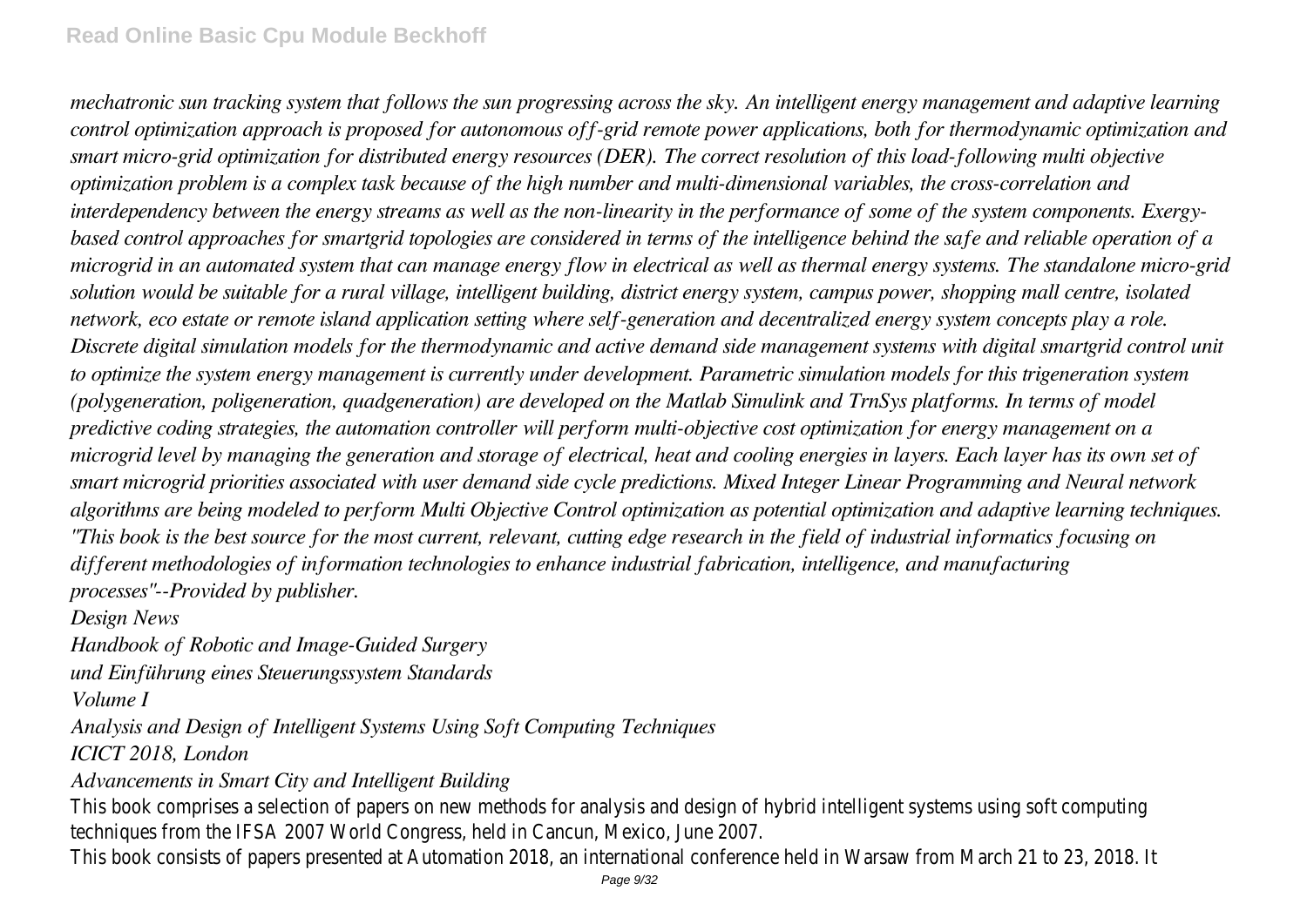*mechatronic sun tracking system that follows the sun progressing across the sky. An intelligent energy management and adaptive learning control optimization approach is proposed for autonomous off-grid remote power applications, both for thermodynamic optimization and smart micro-grid optimization for distributed energy resources (DER). The correct resolution of this load-following multi objective optimization problem is a complex task because of the high number and multi-dimensional variables, the cross-correlation and interdependency between the energy streams as well as the non-linearity in the performance of some of the system components. Exergybased control approaches for smartgrid topologies are considered in terms of the intelligence behind the safe and reliable operation of a microgrid in an automated system that can manage energy flow in electrical as well as thermal energy systems. The standalone micro-grid solution would be suitable for a rural village, intelligent building, district energy system, campus power, shopping mall centre, isolated network, eco estate or remote island application setting where self-generation and decentralized energy system concepts play a role. Discrete digital simulation models for the thermodynamic and active demand side management systems with digital smartgrid control unit to optimize the system energy management is currently under development. Parametric simulation models for this trigeneration system (polygeneration, poligeneration, quadgeneration) are developed on the Matlab Simulink and TrnSys platforms. In terms of model predictive coding strategies, the automation controller will perform multi-objective cost optimization for energy management on a microgrid level by managing the generation and storage of electrical, heat and cooling energies in layers. Each layer has its own set of smart microgrid priorities associated with user demand side cycle predictions. Mixed Integer Linear Programming and Neural network algorithms are being modeled to perform Multi Objective Control optimization as potential optimization and adaptive learning techniques. "This book is the best source for the most current, relevant, cutting edge research in the field of industrial informatics focusing on different methodologies of information technologies to enhance industrial fabrication, intelligence, and manufacturing processes"--Provided by publisher.*

*Design News*

*Handbook of Robotic and Image-Guided Surgery*

*und Einführung eines Steuerungssystem Standards*

*Volume I*

*Analysis and Design of Intelligent Systems Using Soft Computing Techniques ICICT 2018, London*

*Advancements in Smart City and Intelligent Building*

This book comprises a selection of papers on new methods for analysis and design of hybrid intelligent systems using soft computing techniques from the IFSA 2007 World Congress, held in Cancun, Mexico, June 2007. This book consists of papers presented at Automation 2018, an international conference held in Warsaw from March 21 to 23, 2018. It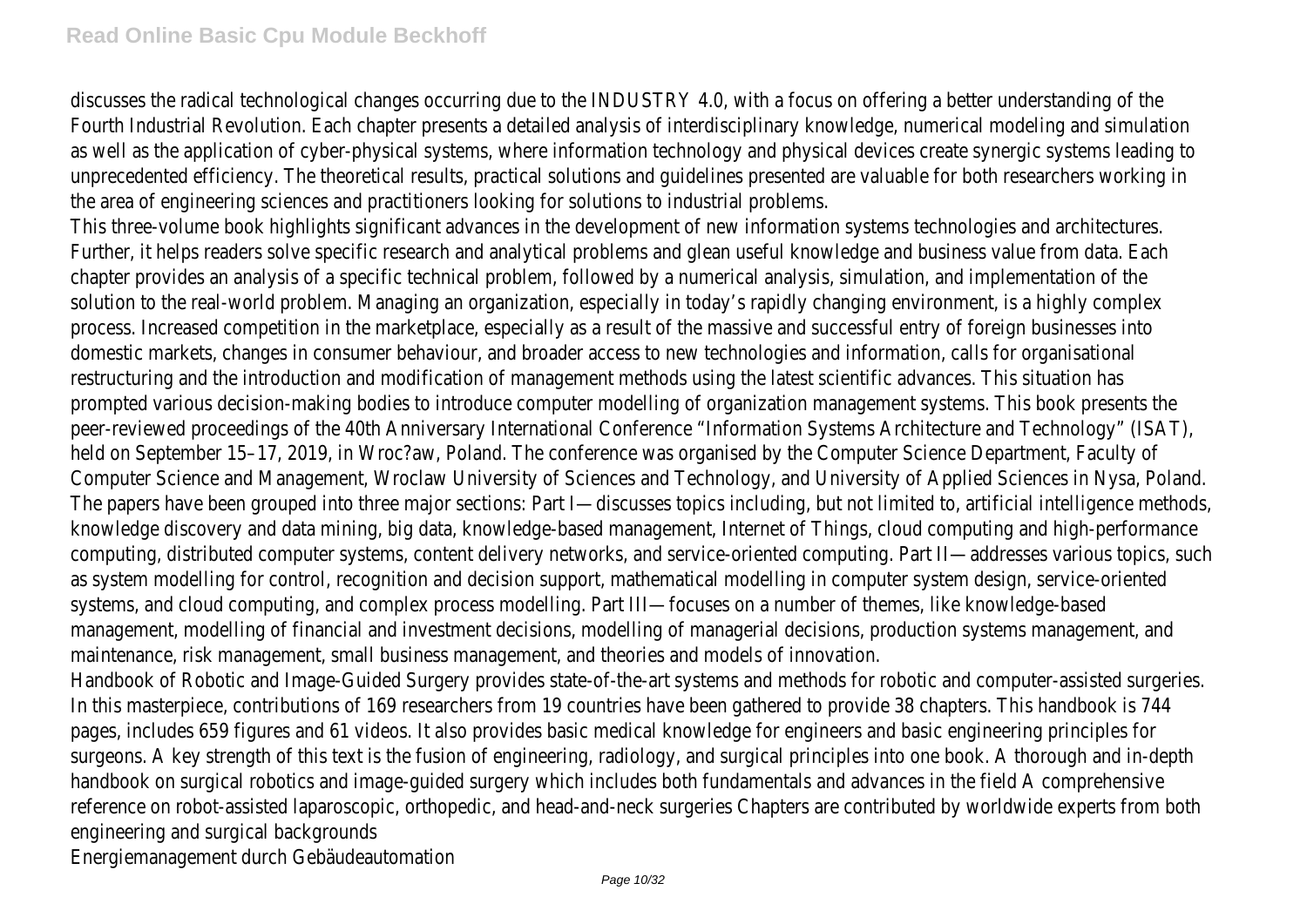discusses the radical technological changes occurring due to the INDUSTRY 4.0, with a focus on offering a better understanding of the Fourth Industrial Revolution. Each chapter presents a detailed analysis of interdisciplinary knowledge, numerical modeling and simulation as well as the application of cyber-physical systems, where information technology and physical devices create synergic systems leading to unprecedented efficiency. The theoretical results, practical solutions and guidelines presented are valuable for both researchers working in the area of engineering sciences and practitioners looking for solutions to industrial problems. This three-volume book highlights significant advances in the development of new information systems technologies and architectures. Further, it helps readers solve specific research and analytical problems and glean useful knowledge and business value from data. Each chapter provides an analysis of a specific technical problem, followed by a numerical analysis, simulation, and implementation of the solution to the real-world problem. Managing an organization, especially in today's rapidly changing environment, is a highly complex process. Increased competition in the marketplace, especially as a result of the massive and successful entry of foreign businesses into domestic markets, changes in consumer behaviour, and broader access to new technologies and information, calls for organisational restructuring and the introduction and modification of management methods using the latest scientific advances. This situation has prompted various decision-making bodies to introduce computer modelling of organization management systems. This book presents the peer-reviewed proceedings of the 40th Anniversary International Conference "Information Systems Architecture and Technology" (ISAT), held on September 15–17, 2019, in Wroc?aw, Poland. The conference was organised by the Computer Science Department, Faculty of Computer Science and Management, Wroclaw University of Sciences and Technology, and University of Applied Sciences in Nysa, Poland. The papers have been grouped into three major sections: Part I—discusses topics including, but not limited to, artificial intelligence methods, knowledge discovery and data mining, big data, knowledge-based management, Internet of Things, cloud computing and high-performance computing, distributed computer systems, content delivery networks, and service-oriented computing. Part II—addresses various topics, such as system modelling for control, recognition and decision support, mathematical modelling in computer system design, service-oriented systems, and cloud computing, and complex process modelling. Part III—focuses on a number of themes, like knowledge-based management, modelling of financial and investment decisions, modelling of managerial decisions, production systems management, and maintenance, risk management, small business management, and theories and models of innovation. Handbook of Robotic and Image-Guided Surgery provides state-of-the-art systems and methods for robotic and computer-assisted surgeries. In this masterpiece, contributions of 169 researchers from 19 countries have been gathered to provide 38 chapters. This handbook is 744 pages, includes 659 figures and 61 videos. It also provides basic medical knowledge for engineers and basic engineering principles for surgeons. A key strength of this text is the fusion of engineering, radiology, and surgical principles into one book. A thorough and in-depth handbook on surgical robotics and image-guided surgery which includes both fundamentals and advances in the field A comprehensive reference on robot-assisted laparoscopic, orthopedic, and head-and-neck surgeries Chapters are contributed by worldwide experts from both engineering and surgical backgrounds Energiemanagement durch Gebäudeautomation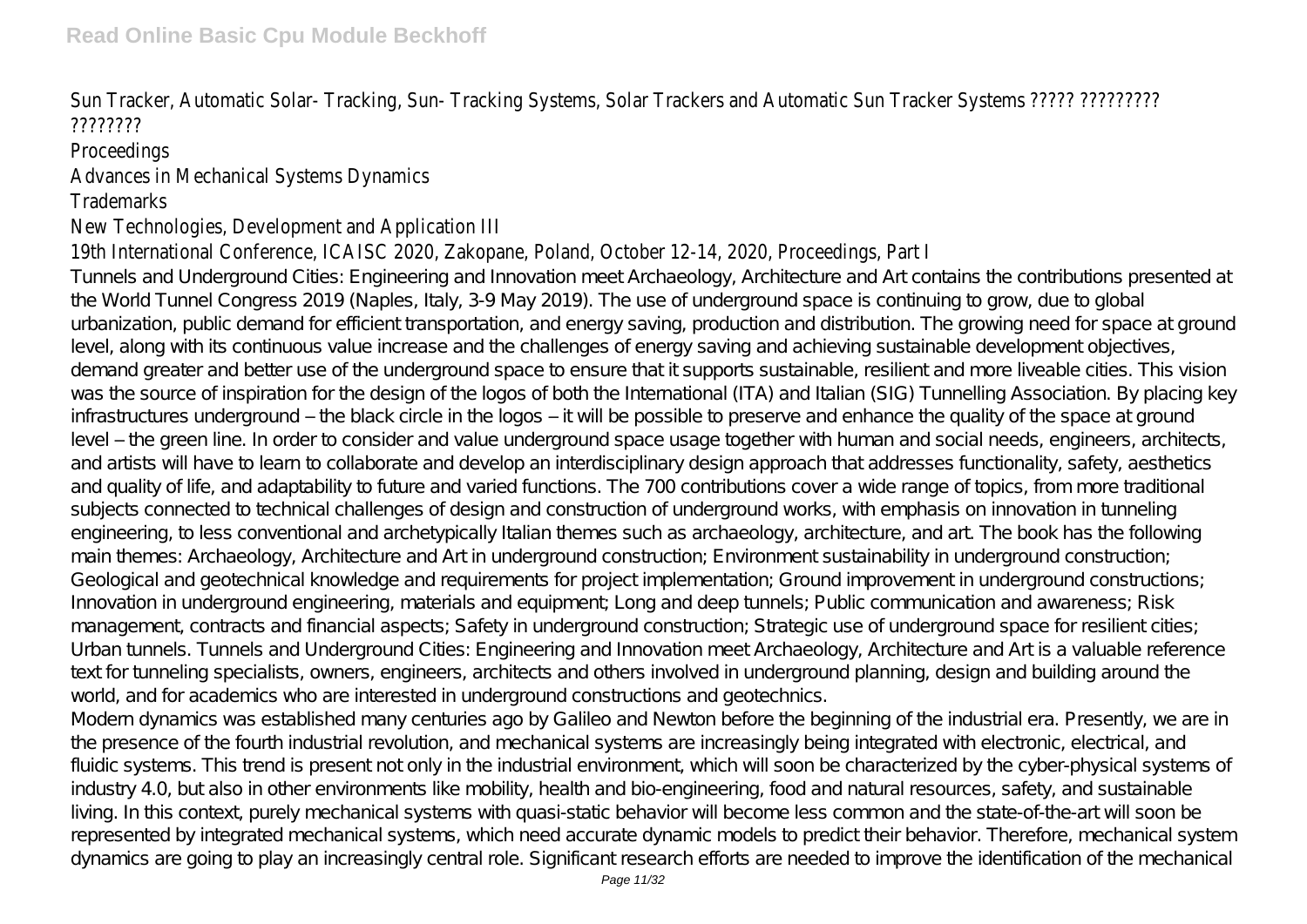### Sun Tracker, Automatic Solar- Tracking, Sun- Tracking Systems, Solar Trackers and Automatic Sun Tracker Systems ????? ????????? ????????

## **Proceedings**

# Advances in Mechanical Systems Dynamics

#### Trademarks

# New Technologies, Development and Application III

#### 19th International Conference, ICAISC 2020, Zakopane, Poland, October 12-14, 2020, Proceedings, Part I Tunnels and Underground Cities: Engineering and Innovation meet Archaeology, Architecture and Art contains the contributions presented at the World Tunnel Congress 2019 (Naples, Italy, 3-9 May 2019). The use of underground space is continuing to grow, due to global urbanization, public demand for efficient transportation, and energy saving, production and distribution. The growing need for space at ground level, along with its continuous value increase and the challenges of energy saving and achieving sustainable development objectives, demand greater and better use of the underground space to ensure that it supports sustainable, resilient and more liveable cities. This vision was the source of inspiration for the design of the logos of both the International (ITA) and Italian (SIG) Tunnelling Association. By placing key infrastructures underground – the black circle in the logos – it will be possible to preserve and enhance the quality of the space at ground level – the green line. In order to consider and value underground space usage together with human and social needs, engineers, architects, and artists will have to learn to collaborate and develop an interdisciplinary design approach that addresses functionality, safety, aesthetics and quality of life, and adaptability to future and varied functions. The 700 contributions cover a wide range of topics, from more traditional subjects connected to technical challenges of design and construction of underground works, with emphasis on innovation in tunneling engineering, to less conventional and archetypically Italian themes such as archaeology, architecture, and art. The book has the following main themes: Archaeology, Architecture and Art in underground construction; Environment sustainability in underground construction; Geological and geotechnical knowledge and requirements for project implementation; Ground improvement in underground constructions; Innovation in underground engineering, materials and equipment; Long and deep tunnels; Public communication and awareness; Risk management, contracts and financial aspects; Safety in underground construction; Strategic use of underground space for resilient cities; Urban tunnels. Tunnels and Underground Cities: Engineering and Innovation meet Archaeology, Architecture and Art is a valuable reference text for tunneling specialists, owners, engineers, architects and others involved in underground planning, design and building around the world, and for academics who are interested in underground constructions and geotechnics.

Modern dynamics was established many centuries ago by Galileo and Newton before the beginning of the industrial era. Presently, we are in the presence of the fourth industrial revolution, and mechanical systems are increasingly being integrated with electronic, electrical, and fluidic systems. This trend is present not only in the industrial environment, which will soon be characterized by the cyber-physical systems of industry 4.0, but also in other environments like mobility, health and bio-engineering, food and natural resources, safety, and sustainable living. In this context, purely mechanical systems with quasi-static behavior will become less common and the state-of-the-art will soon be represented by integrated mechanical systems, which need accurate dynamic models to predict their behavior. Therefore, mechanical system dynamics are going to play an increasingly central role. Significant research efforts are needed to improve the identification of the mechanical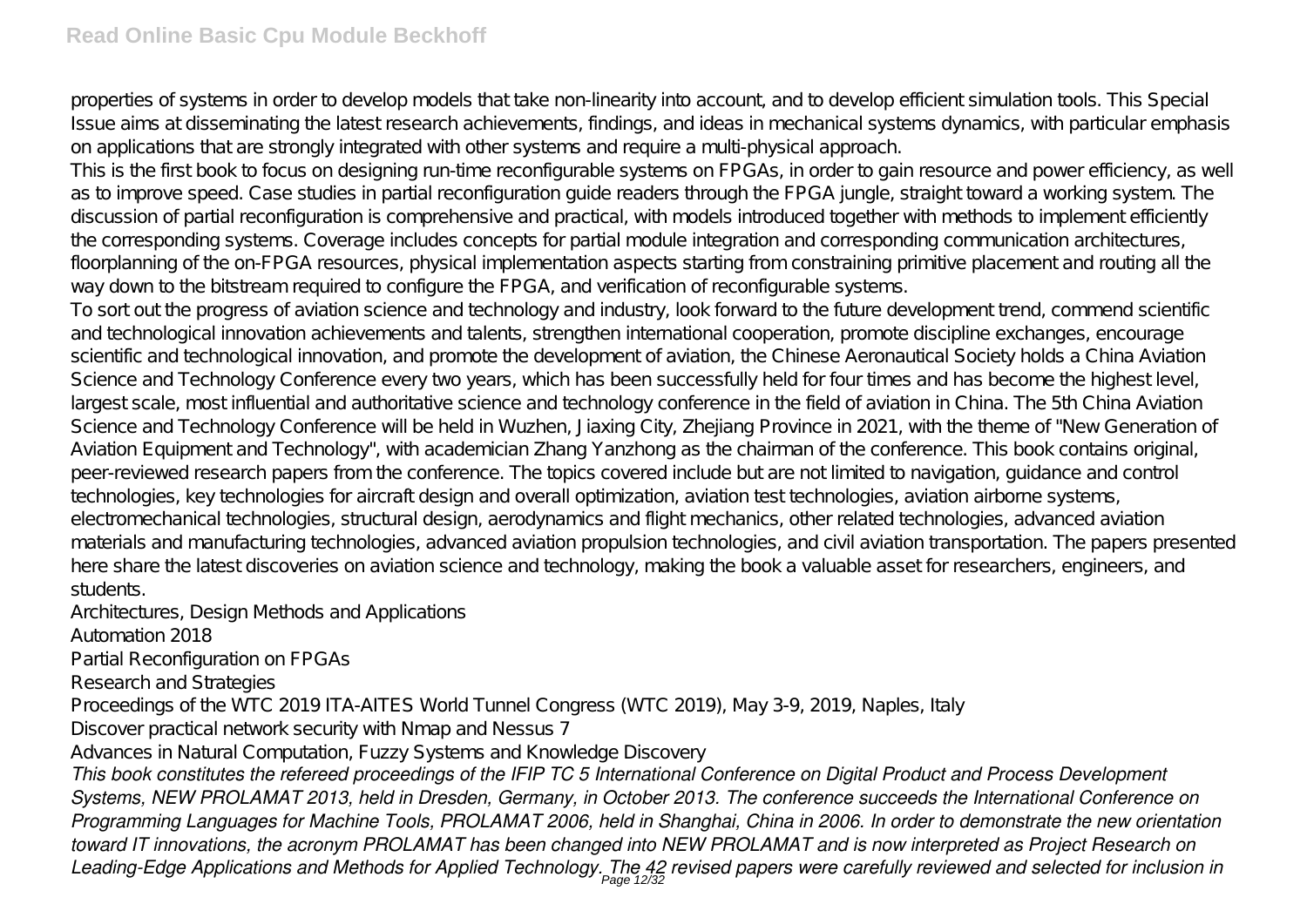properties of systems in order to develop models that take non-linearity into account, and to develop efficient simulation tools. This Special Issue aims at disseminating the latest research achievements, findings, and ideas in mechanical systems dynamics, with particular emphasis on applications that are strongly integrated with other systems and require a multi-physical approach.

This is the first book to focus on designing run-time reconfigurable systems on FPGAs, in order to gain resource and power efficiency, as well as to improve speed. Case studies in partial reconfiguration guide readers through the FPGA jungle, straight toward a working system. The discussion of partial reconfiguration is comprehensive and practical, with models introduced together with methods to implement efficiently the corresponding systems. Coverage includes concepts for partial module integration and corresponding communication architectures, floorplanning of the on-FPGA resources, physical implementation aspects starting from constraining primitive placement and routing all the way down to the bitstream required to configure the FPGA, and verification of reconfigurable systems.

To sort out the progress of aviation science and technology and industry, look forward to the future development trend, commend scientific and technological innovation achievements and talents, strengthen international cooperation, promote discipline exchanges, encourage scientific and technological innovation, and promote the development of aviation, the Chinese Aeronautical Society holds a China Aviation Science and Technology Conference every two years, which has been successfully held for four times and has become the highest level, largest scale, most influential and authoritative science and technology conference in the field of aviation in China. The 5th China Aviation Science and Technology Conference will be held in Wuzhen, Jiaxing City, Zhejiang Province in 2021, with the theme of "New Generation of Aviation Equipment and Technology", with academician Zhang Yanzhong as the chairman of the conference. This book contains original, peer-reviewed research papers from the conference. The topics covered include but are not limited to navigation, guidance and control technologies, key technologies for aircraft design and overall optimization, aviation test technologies, aviation airborne systems, electromechanical technologies, structural design, aerodynamics and flight mechanics, other related technologies, advanced aviation materials and manufacturing technologies, advanced aviation propulsion technologies, and civil aviation transportation. The papers presented here share the latest discoveries on aviation science and technology, making the book a valuable asset for researchers, engineers, and students.

Architectures, Design Methods and Applications

Automation 2018

Partial Reconfiguration on FPGAs

Research and Strategies

Proceedings of the WTC 2019 ITA-AITES World Tunnel Congress (WTC 2019), May 3-9, 2019, Naples, Italy

Discover practical network security with Nmap and Nessus 7

Advances in Natural Computation, Fuzzy Systems and Knowledge Discovery

*This book constitutes the refereed proceedings of the IFIP TC 5 International Conference on Digital Product and Process Development Systems, NEW PROLAMAT 2013, held in Dresden, Germany, in October 2013. The conference succeeds the International Conference on Programming Languages for Machine Tools, PROLAMAT 2006, held in Shanghai, China in 2006. In order to demonstrate the new orientation toward IT innovations, the acronym PROLAMAT has been changed into NEW PROLAMAT and is now interpreted as Project Research on Leading-Edge Applications and Methods for Applied Technology. The 42 revised papers were carefully reviewed and selected for inclusion in* Page 12/32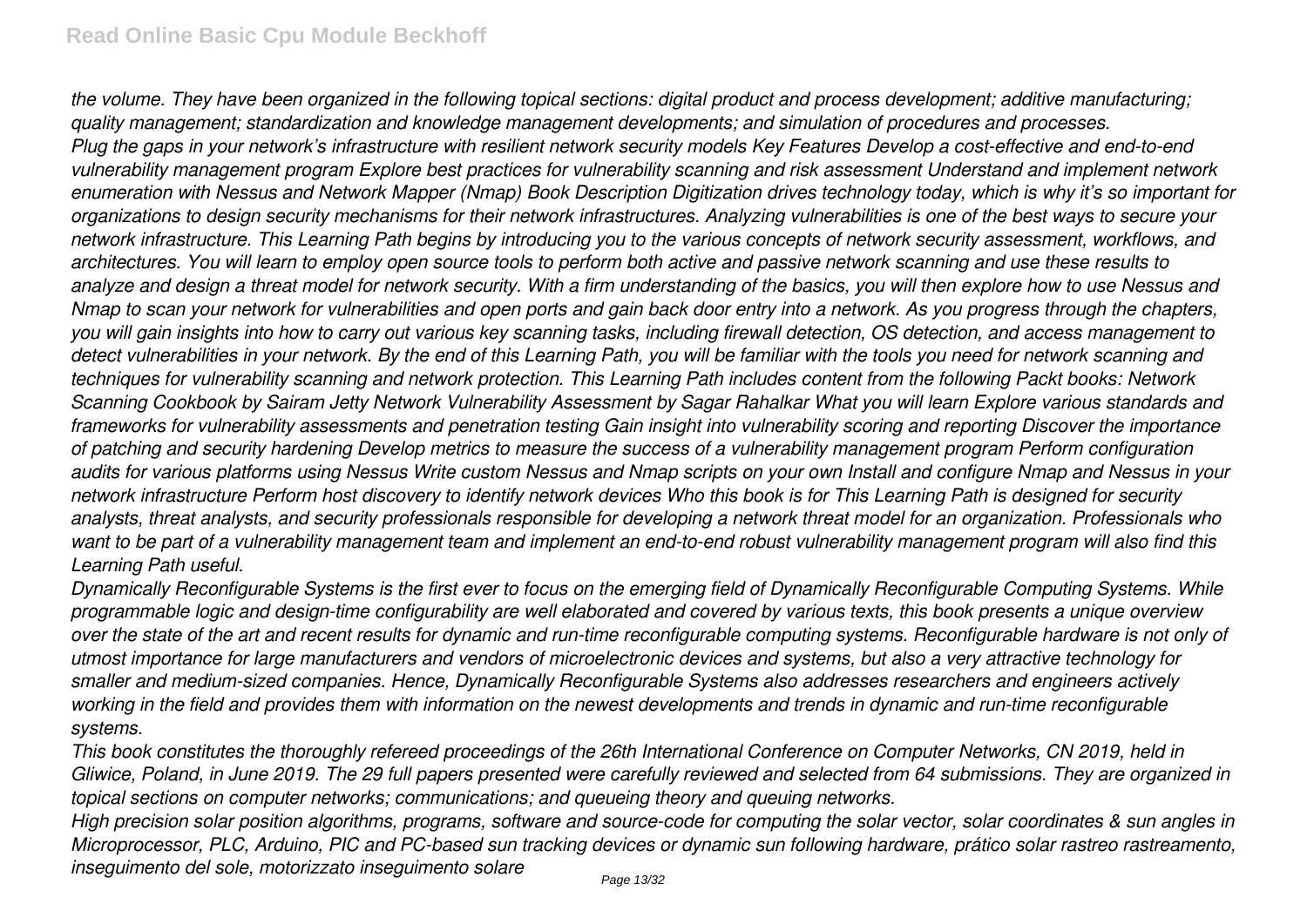*the volume. They have been organized in the following topical sections: digital product and process development; additive manufacturing; quality management; standardization and knowledge management developments; and simulation of procedures and processes. Plug the gaps in your network's infrastructure with resilient network security models Key Features Develop a cost-effective and end-to-end vulnerability management program Explore best practices for vulnerability scanning and risk assessment Understand and implement network enumeration with Nessus and Network Mapper (Nmap) Book Description Digitization drives technology today, which is why it's so important for organizations to design security mechanisms for their network infrastructures. Analyzing vulnerabilities is one of the best ways to secure your network infrastructure. This Learning Path begins by introducing you to the various concepts of network security assessment, workflows, and architectures. You will learn to employ open source tools to perform both active and passive network scanning and use these results to analyze and design a threat model for network security. With a firm understanding of the basics, you will then explore how to use Nessus and Nmap to scan your network for vulnerabilities and open ports and gain back door entry into a network. As you progress through the chapters, you will gain insights into how to carry out various key scanning tasks, including firewall detection, OS detection, and access management to detect vulnerabilities in your network. By the end of this Learning Path, you will be familiar with the tools you need for network scanning and techniques for vulnerability scanning and network protection. This Learning Path includes content from the following Packt books: Network Scanning Cookbook by Sairam Jetty Network Vulnerability Assessment by Sagar Rahalkar What you will learn Explore various standards and frameworks for vulnerability assessments and penetration testing Gain insight into vulnerability scoring and reporting Discover the importance of patching and security hardening Develop metrics to measure the success of a vulnerability management program Perform configuration audits for various platforms using Nessus Write custom Nessus and Nmap scripts on your own Install and configure Nmap and Nessus in your network infrastructure Perform host discovery to identify network devices Who this book is for This Learning Path is designed for security analysts, threat analysts, and security professionals responsible for developing a network threat model for an organization. Professionals who want to be part of a vulnerability management team and implement an end-to-end robust vulnerability management program will also find this Learning Path useful.*

*Dynamically Reconfigurable Systems is the first ever to focus on the emerging field of Dynamically Reconfigurable Computing Systems. While programmable logic and design-time configurability are well elaborated and covered by various texts, this book presents a unique overview over the state of the art and recent results for dynamic and run-time reconfigurable computing systems. Reconfigurable hardware is not only of utmost importance for large manufacturers and vendors of microelectronic devices and systems, but also a very attractive technology for smaller and medium-sized companies. Hence, Dynamically Reconfigurable Systems also addresses researchers and engineers actively working in the field and provides them with information on the newest developments and trends in dynamic and run-time reconfigurable systems.*

*This book constitutes the thoroughly refereed proceedings of the 26th International Conference on Computer Networks, CN 2019, held in Gliwice, Poland, in June 2019. The 29 full papers presented were carefully reviewed and selected from 64 submissions. They are organized in topical sections on computer networks; communications; and queueing theory and queuing networks.*

*High precision solar position algorithms, programs, software and source-code for computing the solar vector, solar coordinates & sun angles in Microprocessor, PLC, Arduino, PIC and PC-based sun tracking devices or dynamic sun following hardware, prático solar rastreo rastreamento, inseguimento del sole, motorizzato inseguimento solare*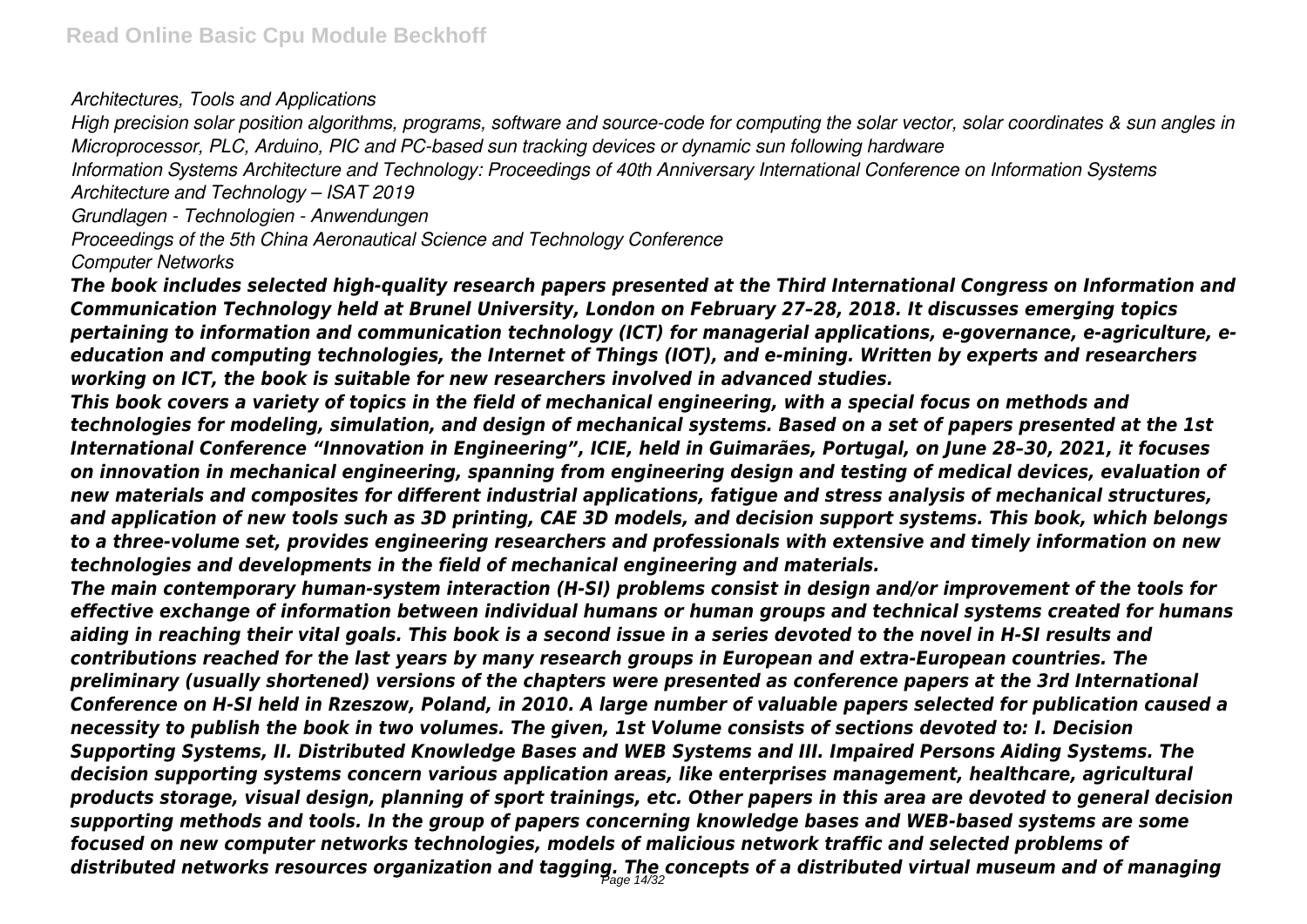*Architectures, Tools and Applications*

*High precision solar position algorithms, programs, software and source-code for computing the solar vector, solar coordinates & sun angles in Microprocessor, PLC, Arduino, PIC and PC-based sun tracking devices or dynamic sun following hardware*

*Information Systems Architecture and Technology: Proceedings of 40th Anniversary International Conference on Information Systems*

*Architecture and Technology – ISAT 2019*

*Grundlagen - Technologien - Anwendungen*

*Proceedings of the 5th China Aeronautical Science and Technology Conference*

*Computer Networks*

*The book includes selected high-quality research papers presented at the Third International Congress on Information and Communication Technology held at Brunel University, London on February 27–28, 2018. It discusses emerging topics pertaining to information and communication technology (ICT) for managerial applications, e-governance, e-agriculture, eeducation and computing technologies, the Internet of Things (IOT), and e-mining. Written by experts and researchers working on ICT, the book is suitable for new researchers involved in advanced studies.*

*This book covers a variety of topics in the field of mechanical engineering, with a special focus on methods and technologies for modeling, simulation, and design of mechanical systems. Based on a set of papers presented at the 1st International Conference "Innovation in Engineering", ICIE, held in Guimarães, Portugal, on June 28–30, 2021, it focuses on innovation in mechanical engineering, spanning from engineering design and testing of medical devices, evaluation of new materials and composites for different industrial applications, fatigue and stress analysis of mechanical structures, and application of new tools such as 3D printing, CAE 3D models, and decision support systems. This book, which belongs to a three-volume set, provides engineering researchers and professionals with extensive and timely information on new technologies and developments in the field of mechanical engineering and materials.*

*The main contemporary human-system interaction (H-SI) problems consist in design and/or improvement of the tools for effective exchange of information between individual humans or human groups and technical systems created for humans aiding in reaching their vital goals. This book is a second issue in a series devoted to the novel in H-SI results and contributions reached for the last years by many research groups in European and extra-European countries. The preliminary (usually shortened) versions of the chapters were presented as conference papers at the 3rd International Conference on H-SI held in Rzeszow, Poland, in 2010. A large number of valuable papers selected for publication caused a necessity to publish the book in two volumes. The given, 1st Volume consists of sections devoted to: I. Decision Supporting Systems, II. Distributed Knowledge Bases and WEB Systems and III. Impaired Persons Aiding Systems. The decision supporting systems concern various application areas, like enterprises management, healthcare, agricultural products storage, visual design, planning of sport trainings, etc. Other papers in this area are devoted to general decision supporting methods and tools. In the group of papers concerning knowledge bases and WEB-based systems are some focused on new computer networks technologies, models of malicious network traffic and selected problems of distributed networks resources organization and tagging. The concepts of a distributed virtual museum and of managing* Page 14/32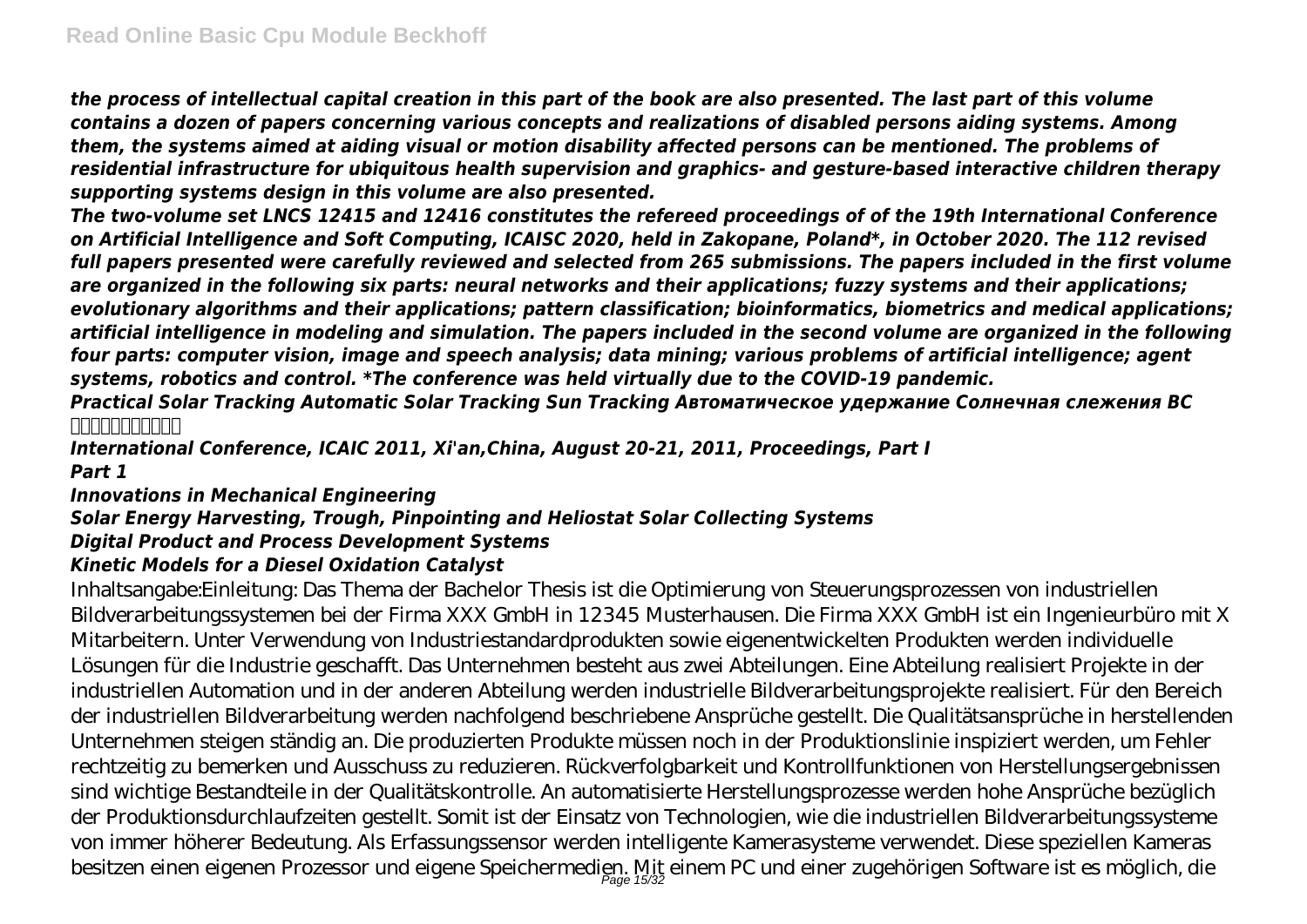*the process of intellectual capital creation in this part of the book are also presented. The last part of this volume contains a dozen of papers concerning various concepts and realizations of disabled persons aiding systems. Among them, the systems aimed at aiding visual or motion disability affected persons can be mentioned. The problems of residential infrastructure for ubiquitous health supervision and graphics- and gesture-based interactive children therapy supporting systems design in this volume are also presented.*

*The two-volume set LNCS 12415 and 12416 constitutes the refereed proceedings of of the 19th International Conference on Artificial Intelligence and Soft Computing, ICAISC 2020, held in Zakopane, Poland\*, in October 2020. The 112 revised full papers presented were carefully reviewed and selected from 265 submissions. The papers included in the first volume are organized in the following six parts: neural networks and their applications; fuzzy systems and their applications; evolutionary algorithms and their applications; pattern classification; bioinformatics, biometrics and medical applications; artificial intelligence in modeling and simulation. The papers included in the second volume are organized in the following four parts: computer vision, image and speech analysis; data mining; various problems of artificial intelligence; agent systems, robotics and control. \*The conference was held virtually due to the COVID-19 pandemic.*

*Practical Solar Tracking Automatic Solar Tracking Sun Tracking Автоматическое удержание Солнечная слежения ВС 太陽能自動跟踪太陽跟踪*

*International Conference, ICAIC 2011, Xi'an,China, August 20-21, 2011, Proceedings, Part I Part 1*

## *Innovations in Mechanical Engineering Solar Energy Harvesting, Trough, Pinpointing and Heliostat Solar Collecting Systems Digital Product and Process Development Systems*

#### *Kinetic Models for a Diesel Oxidation Catalyst*

Inhaltsangabe:Einleitung: Das Thema der Bachelor Thesis ist die Optimierung von Steuerungsprozessen von industriellen Bildverarbeitungssystemen bei der Firma XXX GmbH in 12345 Musterhausen. Die Firma XXX GmbH ist ein Ingenieurbüro mit X Mitarbeitern. Unter Verwendung von Industriestandardprodukten sowie eigenentwickelten Produkten werden individuelle Lösungen für die Industrie geschafft. Das Unternehmen besteht aus zwei Abteilungen. Eine Abteilung realisiert Projekte in der industriellen Automation und in der anderen Abteilung werden industrielle Bildverarbeitungsprojekte realisiert. Für den Bereich der industriellen Bildverarbeitung werden nachfolgend beschriebene Ansprüche gestellt. Die Qualitätsansprüche in herstellenden Unternehmen steigen ständig an. Die produzierten Produkte müssen noch in der Produktionslinie inspiziert werden, um Fehler rechtzeitig zu bemerken und Ausschuss zu reduzieren. Rückverfolgbarkeit und Kontrollfunktionen von Herstellungsergebnissen sind wichtige Bestandteile in der Qualitätskontrolle. An automatisierte Herstellungsprozesse werden hohe Ansprüche bezüglich der Produktionsdurchlaufzeiten gestellt. Somit ist der Einsatz von Technologien, wie die industriellen Bildverarbeitungssysteme von immer höherer Bedeutung. Als Erfassungssensor werden intelligente Kamerasysteme verwendet. Diese speziellen Kameras besitzen einen eigenen Prozessor und eigene Speichermedien. Mit einem PC und einer zugehörigen Software ist es möglich, die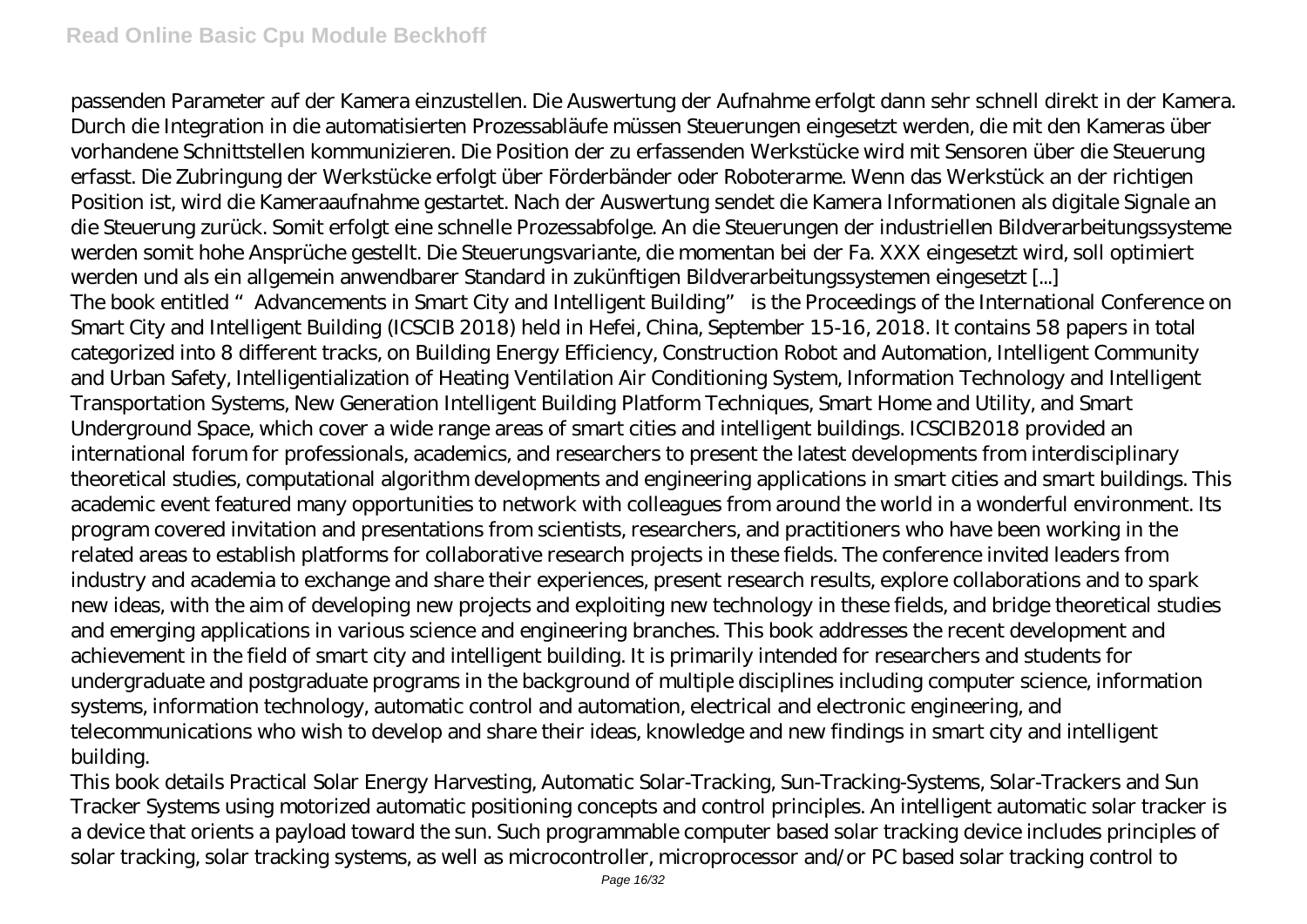passenden Parameter auf der Kamera einzustellen. Die Auswertung der Aufnahme erfolgt dann sehr schnell direkt in der Kamera. Durch die Integration in die automatisierten Prozessabläufe müssen Steuerungen eingesetzt werden, die mit den Kameras über vorhandene Schnittstellen kommunizieren. Die Position der zu erfassenden Werkstücke wird mit Sensoren über die Steuerung erfasst. Die Zubringung der Werkstücke erfolgt über Förderbänder oder Roboterarme. Wenn das Werkstück an der richtigen Position ist, wird die Kameraaufnahme gestartet. Nach der Auswertung sendet die Kamera Informationen als digitale Signale an die Steuerung zurück. Somit erfolgt eine schnelle Prozessabfolge. An die Steuerungen der industriellen Bildverarbeitungssysteme werden somit hohe Ansprüche gestellt. Die Steuerungsvariante, die momentan bei der Fa. XXX eingesetzt wird, soll optimiert werden und als ein allgemein anwendbarer Standard in zukünftigen Bildverarbeitungssystemen eingesetzt [...] The book entitled "Advancements in Smart City and Intelligent Building" is the Proceedings of the International Conference on Smart City and Intelligent Building (ICSCIB 2018) held in Hefei, China, September 15-16, 2018. It contains 58 papers in total categorized into 8 different tracks, on Building Energy Efficiency, Construction Robot and Automation, Intelligent Community and Urban Safety, Intelligentialization of Heating Ventilation Air Conditioning System, Information Technology and Intelligent Transportation Systems, New Generation Intelligent Building Platform Techniques, Smart Home and Utility, and Smart Underground Space, which cover a wide range areas of smart cities and intelligent buildings. ICSCIB2018 provided an international forum for professionals, academics, and researchers to present the latest developments from interdisciplinary theoretical studies, computational algorithm developments and engineering applications in smart cities and smart buildings. This academic event featured many opportunities to network with colleagues from around the world in a wonderful environment. Its program covered invitation and presentations from scientists, researchers, and practitioners who have been working in the related areas to establish platforms for collaborative research projects in these fields. The conference invited leaders from industry and academia to exchange and share their experiences, present research results, explore collaborations and to spark new ideas, with the aim of developing new projects and exploiting new technology in these fields, and bridge theoretical studies and emerging applications in various science and engineering branches. This book addresses the recent development and achievement in the field of smart city and intelligent building. It is primarily intended for researchers and students for undergraduate and postgraduate programs in the background of multiple disciplines including computer science, information systems, information technology, automatic control and automation, electrical and electronic engineering, and telecommunications who wish to develop and share their ideas, knowledge and new findings in smart city and intelligent building.

This book details Practical Solar Energy Harvesting, Automatic Solar-Tracking, Sun-Tracking-Systems, Solar-Trackers and Sun Tracker Systems using motorized automatic positioning concepts and control principles. An intelligent automatic solar tracker is a device that orients a payload toward the sun. Such programmable computer based solar tracking device includes principles of solar tracking, solar tracking systems, as well as microcontroller, microprocessor and/or PC based solar tracking control to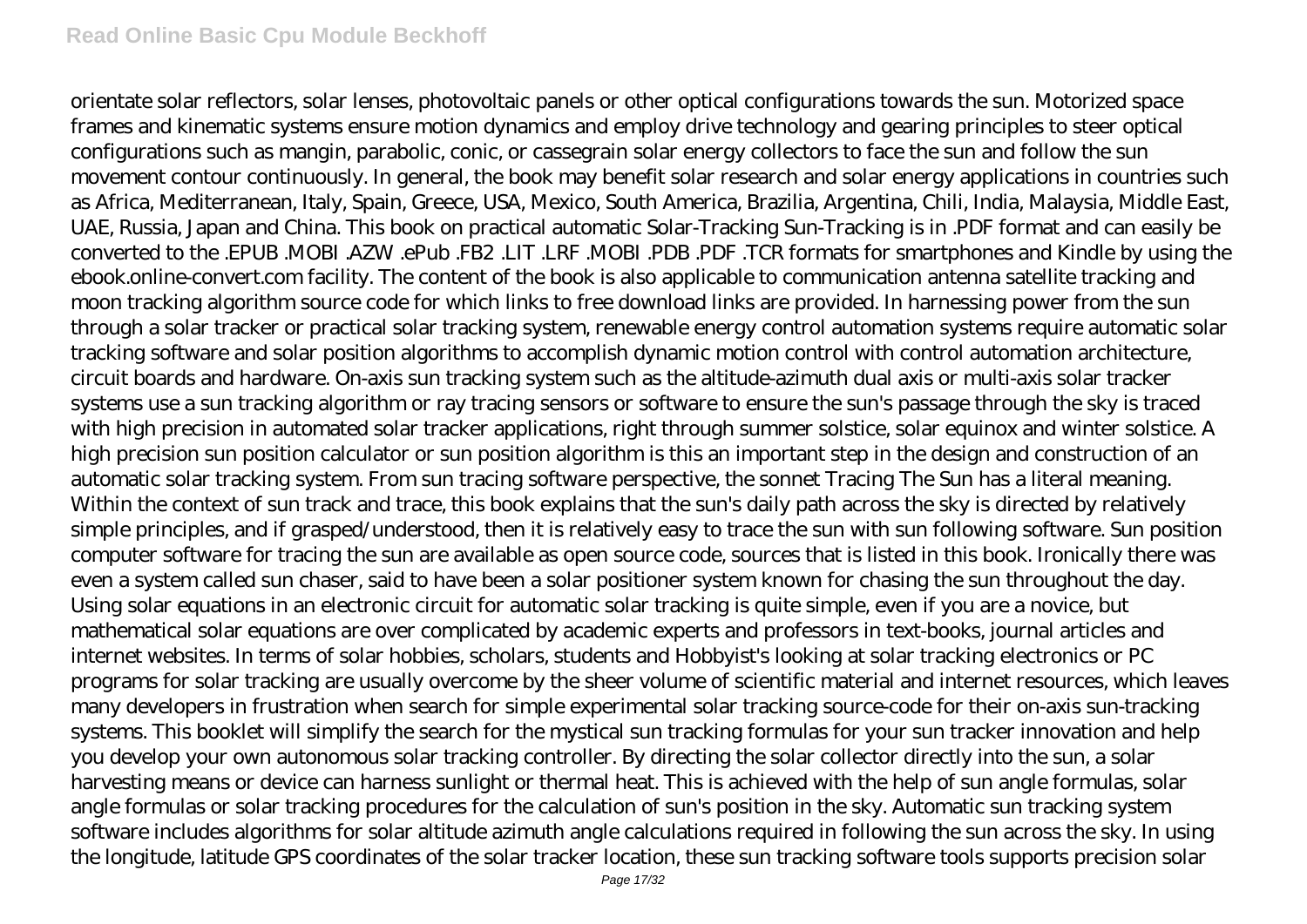orientate solar reflectors, solar lenses, photovoltaic panels or other optical configurations towards the sun. Motorized space frames and kinematic systems ensure motion dynamics and employ drive technology and gearing principles to steer optical configurations such as mangin, parabolic, conic, or cassegrain solar energy collectors to face the sun and follow the sun movement contour continuously. In general, the book may benefit solar research and solar energy applications in countries such as Africa, Mediterranean, Italy, Spain, Greece, USA, Mexico, South America, Brazilia, Argentina, Chili, India, Malaysia, Middle East, UAE, Russia, Japan and China. This book on practical automatic Solar-Tracking Sun-Tracking is in .PDF format and can easily be converted to the .EPUB .MOBI .AZW .ePub .FB2 .LIT .LRF .MOBI .PDB .PDF .TCR formats for smartphones and Kindle by using the ebook.online-convert.com facility. The content of the book is also applicable to communication antenna satellite tracking and moon tracking algorithm source code for which links to free download links are provided. In harnessing power from the sun through a solar tracker or practical solar tracking system, renewable energy control automation systems require automatic solar tracking software and solar position algorithms to accomplish dynamic motion control with control automation architecture, circuit boards and hardware. On-axis sun tracking system such as the altitude-azimuth dual axis or multi-axis solar tracker systems use a sun tracking algorithm or ray tracing sensors or software to ensure the sun's passage through the sky is traced with high precision in automated solar tracker applications, right through summer solstice, solar equinox and winter solstice. A high precision sun position calculator or sun position algorithm is this an important step in the design and construction of an automatic solar tracking system. From sun tracing software perspective, the sonnet Tracing The Sun has a literal meaning. Within the context of sun track and trace, this book explains that the sun's daily path across the sky is directed by relatively simple principles, and if grasped/understood, then it is relatively easy to trace the sun with sun following software. Sun position computer software for tracing the sun are available as open source code, sources that is listed in this book. Ironically there was even a system called sun chaser, said to have been a solar positioner system known for chasing the sun throughout the day. Using solar equations in an electronic circuit for automatic solar tracking is quite simple, even if you are a novice, but mathematical solar equations are over complicated by academic experts and professors in text-books, journal articles and internet websites. In terms of solar hobbies, scholars, students and Hobbyist's looking at solar tracking electronics or PC programs for solar tracking are usually overcome by the sheer volume of scientific material and internet resources, which leaves many developers in frustration when search for simple experimental solar tracking source-code for their on-axis sun-tracking systems. This booklet will simplify the search for the mystical sun tracking formulas for your sun tracker innovation and help you develop your own autonomous solar tracking controller. By directing the solar collector directly into the sun, a solar harvesting means or device can harness sunlight or thermal heat. This is achieved with the help of sun angle formulas, solar angle formulas or solar tracking procedures for the calculation of sun's position in the sky. Automatic sun tracking system software includes algorithms for solar altitude azimuth angle calculations required in following the sun across the sky. In using the longitude, latitude GPS coordinates of the solar tracker location, these sun tracking software tools supports precision solar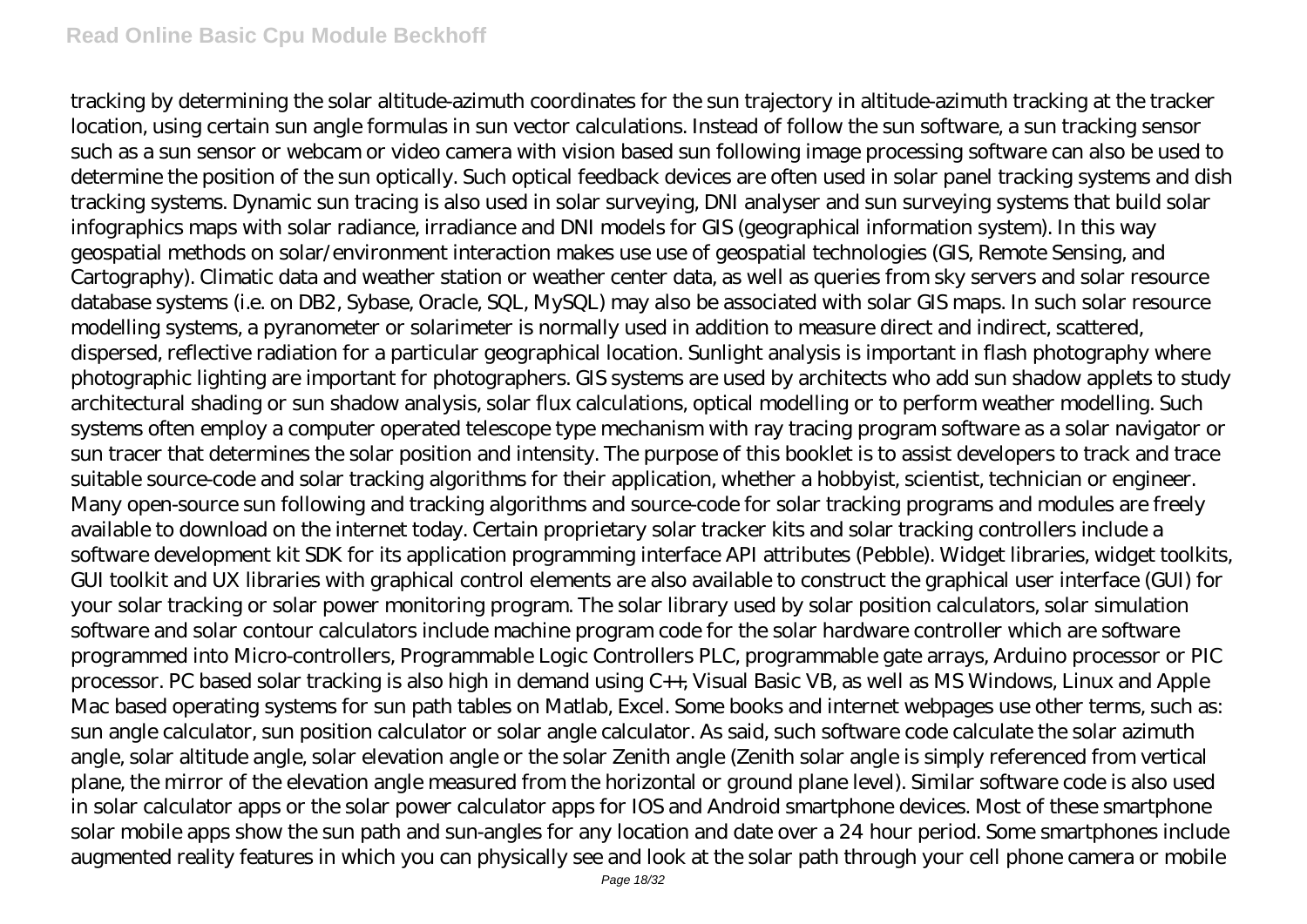tracking by determining the solar altitude-azimuth coordinates for the sun trajectory in altitude-azimuth tracking at the tracker location, using certain sun angle formulas in sun vector calculations. Instead of follow the sun software, a sun tracking sensor such as a sun sensor or webcam or video camera with vision based sun following image processing software can also be used to determine the position of the sun optically. Such optical feedback devices are often used in solar panel tracking systems and dish tracking systems. Dynamic sun tracing is also used in solar surveying, DNI analyser and sun surveying systems that build solar infographics maps with solar radiance, irradiance and DNI models for GIS (geographical information system). In this way geospatial methods on solar/environment interaction makes use use of geospatial technologies (GIS, Remote Sensing, and Cartography). Climatic data and weather station or weather center data, as well as queries from sky servers and solar resource database systems (i.e. on DB2, Sybase, Oracle, SQL, MySQL) may also be associated with solar GIS maps. In such solar resource modelling systems, a pyranometer or solarimeter is normally used in addition to measure direct and indirect, scattered, dispersed, reflective radiation for a particular geographical location. Sunlight analysis is important in flash photography where photographic lighting are important for photographers. GIS systems are used by architects who add sun shadow applets to study architectural shading or sun shadow analysis, solar flux calculations, optical modelling or to perform weather modelling. Such systems often employ a computer operated telescope type mechanism with ray tracing program software as a solar navigator or sun tracer that determines the solar position and intensity. The purpose of this booklet is to assist developers to track and trace suitable source-code and solar tracking algorithms for their application, whether a hobbyist, scientist, technician or engineer. Many open-source sun following and tracking algorithms and source-code for solar tracking programs and modules are freely available to download on the internet today. Certain proprietary solar tracker kits and solar tracking controllers include a software development kit SDK for its application programming interface API attributes (Pebble). Widget libraries, widget toolkits, GUI toolkit and UX libraries with graphical control elements are also available to construct the graphical user interface (GUI) for your solar tracking or solar power monitoring program. The solar library used by solar position calculators, solar simulation software and solar contour calculators include machine program code for the solar hardware controller which are software programmed into Micro-controllers, Programmable Logic Controllers PLC, programmable gate arrays, Arduino processor or PIC processor. PC based solar tracking is also high in demand using C++, Visual Basic VB, as well as MS Windows, Linux and Apple Mac based operating systems for sun path tables on Matlab, Excel. Some books and internet webpages use other terms, such as: sun angle calculator, sun position calculator or solar angle calculator. As said, such software code calculate the solar azimuth angle, solar altitude angle, solar elevation angle or the solar Zenith angle (Zenith solar angle is simply referenced from vertical plane, the mirror of the elevation angle measured from the horizontal or ground plane level). Similar software code is also used in solar calculator apps or the solar power calculator apps for IOS and Android smartphone devices. Most of these smartphone solar mobile apps show the sun path and sun-angles for any location and date over a 24 hour period. Some smartphones include augmented reality features in which you can physically see and look at the solar path through your cell phone camera or mobile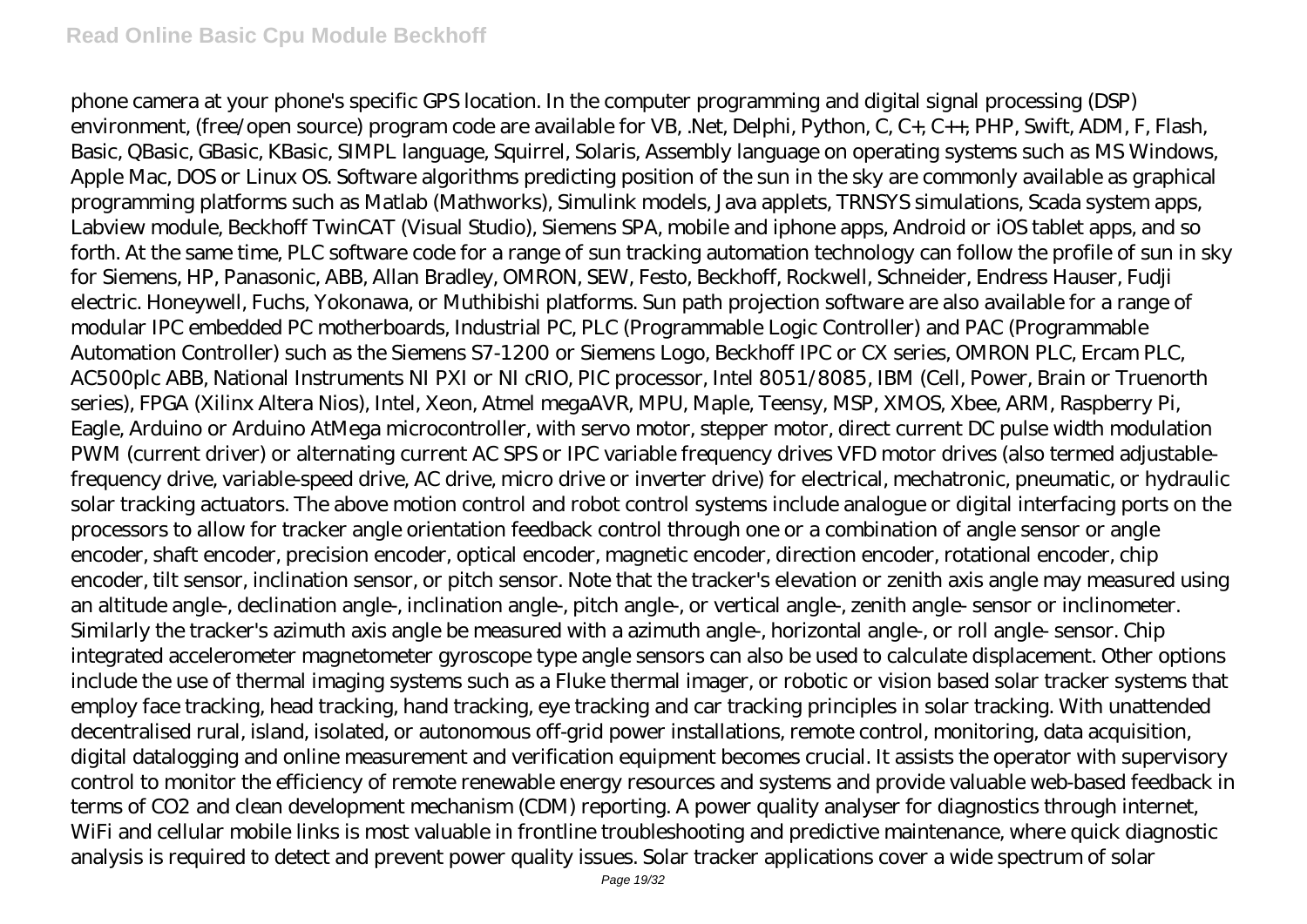phone camera at your phone's specific GPS location. In the computer programming and digital signal processing (DSP) environment, (free/open source) program code are available for VB, .Net, Delphi, Python, C, C+, C++, PHP, Swift, ADM, F, Flash, Basic, QBasic, GBasic, KBasic, SIMPL language, Squirrel, Solaris, Assembly language on operating systems such as MS Windows, Apple Mac, DOS or Linux OS. Software algorithms predicting position of the sun in the sky are commonly available as graphical programming platforms such as Matlab (Mathworks), Simulink models, Java applets, TRNSYS simulations, Scada system apps, Labview module, Beckhoff TwinCAT (Visual Studio), Siemens SPA, mobile and iphone apps, Android or iOS tablet apps, and so forth. At the same time, PLC software code for a range of sun tracking automation technology can follow the profile of sun in sky for Siemens, HP, Panasonic, ABB, Allan Bradley, OMRON, SEW, Festo, Beckhoff, Rockwell, Schneider, Endress Hauser, Fudji electric. Honeywell, Fuchs, Yokonawa, or Muthibishi platforms. Sun path projection software are also available for a range of modular IPC embedded PC motherboards, Industrial PC, PLC (Programmable Logic Controller) and PAC (Programmable Automation Controller) such as the Siemens S7-1200 or Siemens Logo, Beckhoff IPC or CX series, OMRON PLC, Ercam PLC, AC500plc ABB, National Instruments NI PXI or NI cRIO, PIC processor, Intel 8051/8085, IBM (Cell, Power, Brain or Truenorth series), FPGA (Xilinx Altera Nios), Intel, Xeon, Atmel megaAVR, MPU, Maple, Teensy, MSP, XMOS, Xbee, ARM, Raspberry Pi, Eagle, Arduino or Arduino AtMega microcontroller, with servo motor, stepper motor, direct current DC pulse width modulation PWM (current driver) or alternating current AC SPS or IPC variable frequency drives VFD motor drives (also termed adjustablefrequency drive, variable-speed drive, AC drive, micro drive or inverter drive) for electrical, mechatronic, pneumatic, or hydraulic solar tracking actuators. The above motion control and robot control systems include analogue or digital interfacing ports on the processors to allow for tracker angle orientation feedback control through one or a combination of angle sensor or angle encoder, shaft encoder, precision encoder, optical encoder, magnetic encoder, direction encoder, rotational encoder, chip encoder, tilt sensor, inclination sensor, or pitch sensor. Note that the tracker's elevation or zenith axis angle may measured using an altitude angle-, declination angle-, inclination angle-, pitch angle-, or vertical angle-, zenith angle- sensor or inclinometer. Similarly the tracker's azimuth axis angle be measured with a azimuth angle-, horizontal angle-, or roll angle- sensor. Chip integrated accelerometer magnetometer gyroscope type angle sensors can also be used to calculate displacement. Other options include the use of thermal imaging systems such as a Fluke thermal imager, or robotic or vision based solar tracker systems that employ face tracking, head tracking, hand tracking, eye tracking and car tracking principles in solar tracking. With unattended decentralised rural, island, isolated, or autonomous off-grid power installations, remote control, monitoring, data acquisition, digital datalogging and online measurement and verification equipment becomes crucial. It assists the operator with supervisory control to monitor the efficiency of remote renewable energy resources and systems and provide valuable web-based feedback in terms of CO2 and clean development mechanism (CDM) reporting. A power quality analyser for diagnostics through internet, WiFi and cellular mobile links is most valuable in frontline troubleshooting and predictive maintenance, where quick diagnostic analysis is required to detect and prevent power quality issues. Solar tracker applications cover a wide spectrum of solar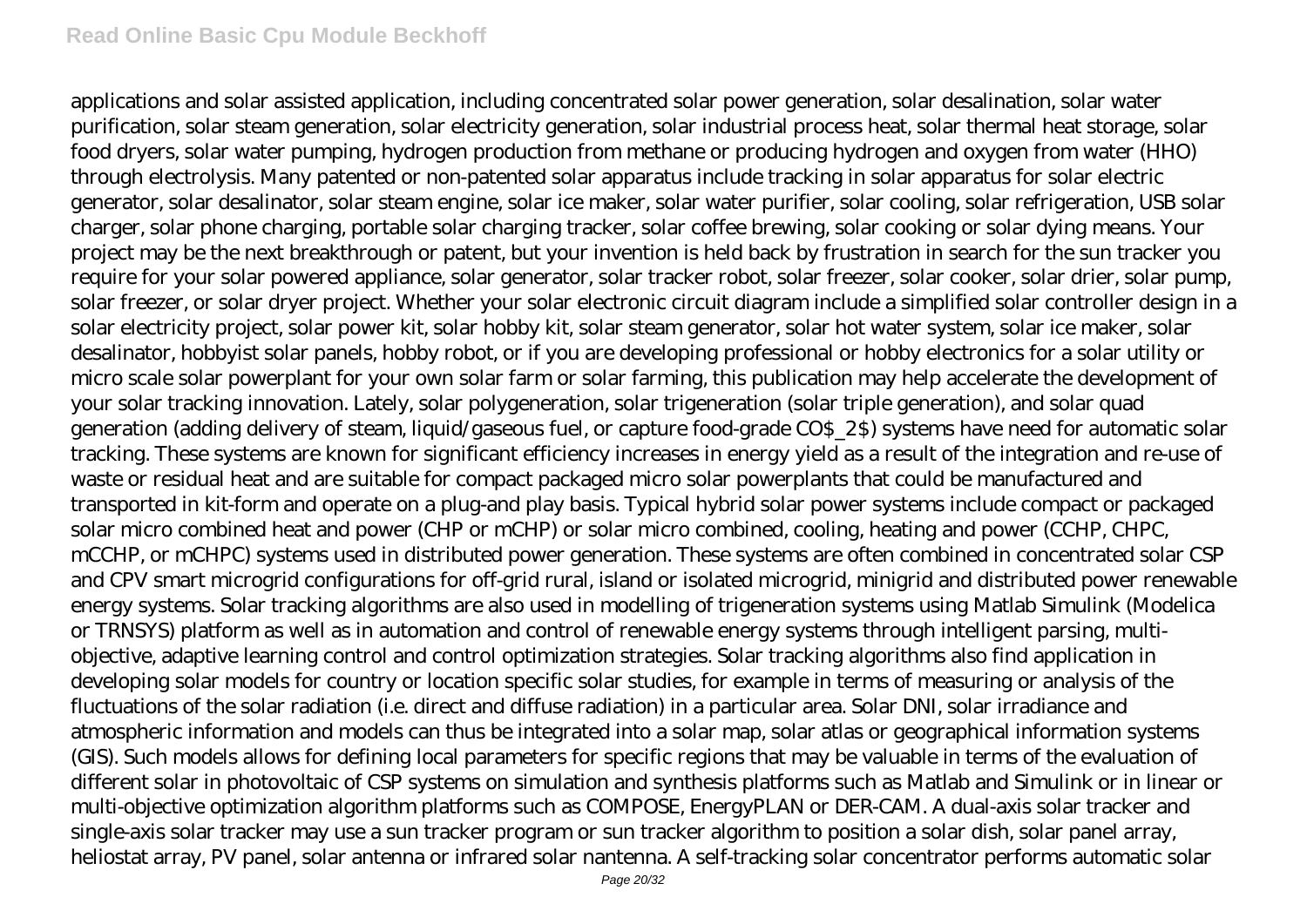applications and solar assisted application, including concentrated solar power generation, solar desalination, solar water purification, solar steam generation, solar electricity generation, solar industrial process heat, solar thermal heat storage, solar food dryers, solar water pumping, hydrogen production from methane or producing hydrogen and oxygen from water (HHO) through electrolysis. Many patented or non-patented solar apparatus include tracking in solar apparatus for solar electric generator, solar desalinator, solar steam engine, solar ice maker, solar water purifier, solar cooling, solar refrigeration, USB solar charger, solar phone charging, portable solar charging tracker, solar coffee brewing, solar cooking or solar dying means. Your project may be the next breakthrough or patent, but your invention is held back by frustration in search for the sun tracker you require for your solar powered appliance, solar generator, solar tracker robot, solar freezer, solar cooker, solar drier, solar pump, solar freezer, or solar dryer project. Whether your solar electronic circuit diagram include a simplified solar controller design in a solar electricity project, solar power kit, solar hobby kit, solar steam generator, solar hot water system, solar ice maker, solar desalinator, hobbyist solar panels, hobby robot, or if you are developing professional or hobby electronics for a solar utility or micro scale solar powerplant for your own solar farm or solar farming, this publication may help accelerate the development of your solar tracking innovation. Lately, solar polygeneration, solar trigeneration (solar triple generation), and solar quad generation (adding delivery of steam, liquid/gaseous fuel, or capture food-grade CO\$\_2\$) systems have need for automatic solar tracking. These systems are known for significant efficiency increases in energy yield as a result of the integration and re-use of waste or residual heat and are suitable for compact packaged micro solar powerplants that could be manufactured and transported in kit-form and operate on a plug-and play basis. Typical hybrid solar power systems include compact or packaged solar micro combined heat and power (CHP or mCHP) or solar micro combined, cooling, heating and power (CCHP, CHPC, mCCHP, or mCHPC) systems used in distributed power generation. These systems are often combined in concentrated solar CSP and CPV smart microgrid configurations for off-grid rural, island or isolated microgrid, minigrid and distributed power renewable energy systems. Solar tracking algorithms are also used in modelling of trigeneration systems using Matlab Simulink (Modelica or TRNSYS) platform as well as in automation and control of renewable energy systems through intelligent parsing, multiobjective, adaptive learning control and control optimization strategies. Solar tracking algorithms also find application in developing solar models for country or location specific solar studies, for example in terms of measuring or analysis of the fluctuations of the solar radiation (i.e. direct and diffuse radiation) in a particular area. Solar DNI, solar irradiance and atmospheric information and models can thus be integrated into a solar map, solar atlas or geographical information systems (GIS). Such models allows for defining local parameters for specific regions that may be valuable in terms of the evaluation of different solar in photovoltaic of CSP systems on simulation and synthesis platforms such as Matlab and Simulink or in linear or multi-objective optimization algorithm platforms such as COMPOSE, EnergyPLAN or DER-CAM. A dual-axis solar tracker and single-axis solar tracker may use a sun tracker program or sun tracker algorithm to position a solar dish, solar panel array, heliostat array, PV panel, solar antenna or infrared solar nantenna. A self-tracking solar concentrator performs automatic solar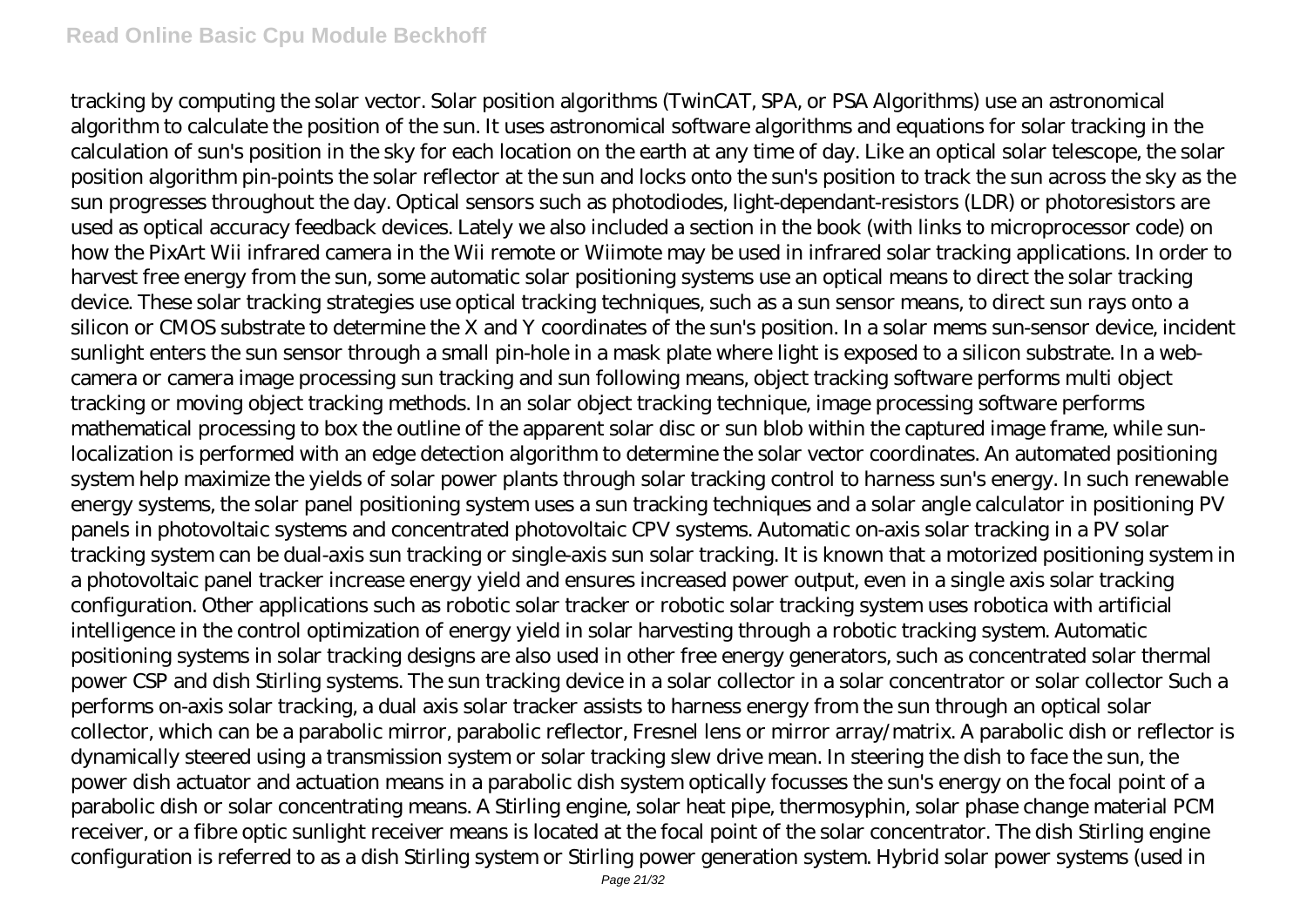tracking by computing the solar vector. Solar position algorithms (TwinCAT, SPA, or PSA Algorithms) use an astronomical algorithm to calculate the position of the sun. It uses astronomical software algorithms and equations for solar tracking in the calculation of sun's position in the sky for each location on the earth at any time of day. Like an optical solar telescope, the solar position algorithm pin-points the solar reflector at the sun and locks onto the sun's position to track the sun across the sky as the sun progresses throughout the day. Optical sensors such as photodiodes, light-dependant-resistors (LDR) or photoresistors are used as optical accuracy feedback devices. Lately we also included a section in the book (with links to microprocessor code) on how the PixArt Wii infrared camera in the Wii remote or Wiimote may be used in infrared solar tracking applications. In order to harvest free energy from the sun, some automatic solar positioning systems use an optical means to direct the solar tracking device. These solar tracking strategies use optical tracking techniques, such as a sun sensor means, to direct sun rays onto a silicon or CMOS substrate to determine the X and Y coordinates of the sun's position. In a solar mems sun-sensor device, incident sunlight enters the sun sensor through a small pin-hole in a mask plate where light is exposed to a silicon substrate. In a webcamera or camera image processing sun tracking and sun following means, object tracking software performs multi object tracking or moving object tracking methods. In an solar object tracking technique, image processing software performs mathematical processing to box the outline of the apparent solar disc or sun blob within the captured image frame, while sunlocalization is performed with an edge detection algorithm to determine the solar vector coordinates. An automated positioning system help maximize the yields of solar power plants through solar tracking control to harness sun's energy. In such renewable energy systems, the solar panel positioning system uses a sun tracking techniques and a solar angle calculator in positioning PV panels in photovoltaic systems and concentrated photovoltaic CPV systems. Automatic on-axis solar tracking in a PV solar tracking system can be dual-axis sun tracking or single-axis sun solar tracking. It is known that a motorized positioning system in a photovoltaic panel tracker increase energy yield and ensures increased power output, even in a single axis solar tracking configuration. Other applications such as robotic solar tracker or robotic solar tracking system uses robotica with artificial intelligence in the control optimization of energy yield in solar harvesting through a robotic tracking system. Automatic positioning systems in solar tracking designs are also used in other free energy generators, such as concentrated solar thermal power CSP and dish Stirling systems. The sun tracking device in a solar collector in a solar concentrator or solar collector Such a performs on-axis solar tracking, a dual axis solar tracker assists to harness energy from the sun through an optical solar collector, which can be a parabolic mirror, parabolic reflector, Fresnel lens or mirror array/matrix. A parabolic dish or reflector is dynamically steered using a transmission system or solar tracking slew drive mean. In steering the dish to face the sun, the power dish actuator and actuation means in a parabolic dish system optically focusses the sun's energy on the focal point of a parabolic dish or solar concentrating means. A Stirling engine, solar heat pipe, thermosyphin, solar phase change material PCM receiver, or a fibre optic sunlight receiver means is located at the focal point of the solar concentrator. The dish Stirling engine configuration is referred to as a dish Stirling system or Stirling power generation system. Hybrid solar power systems (used in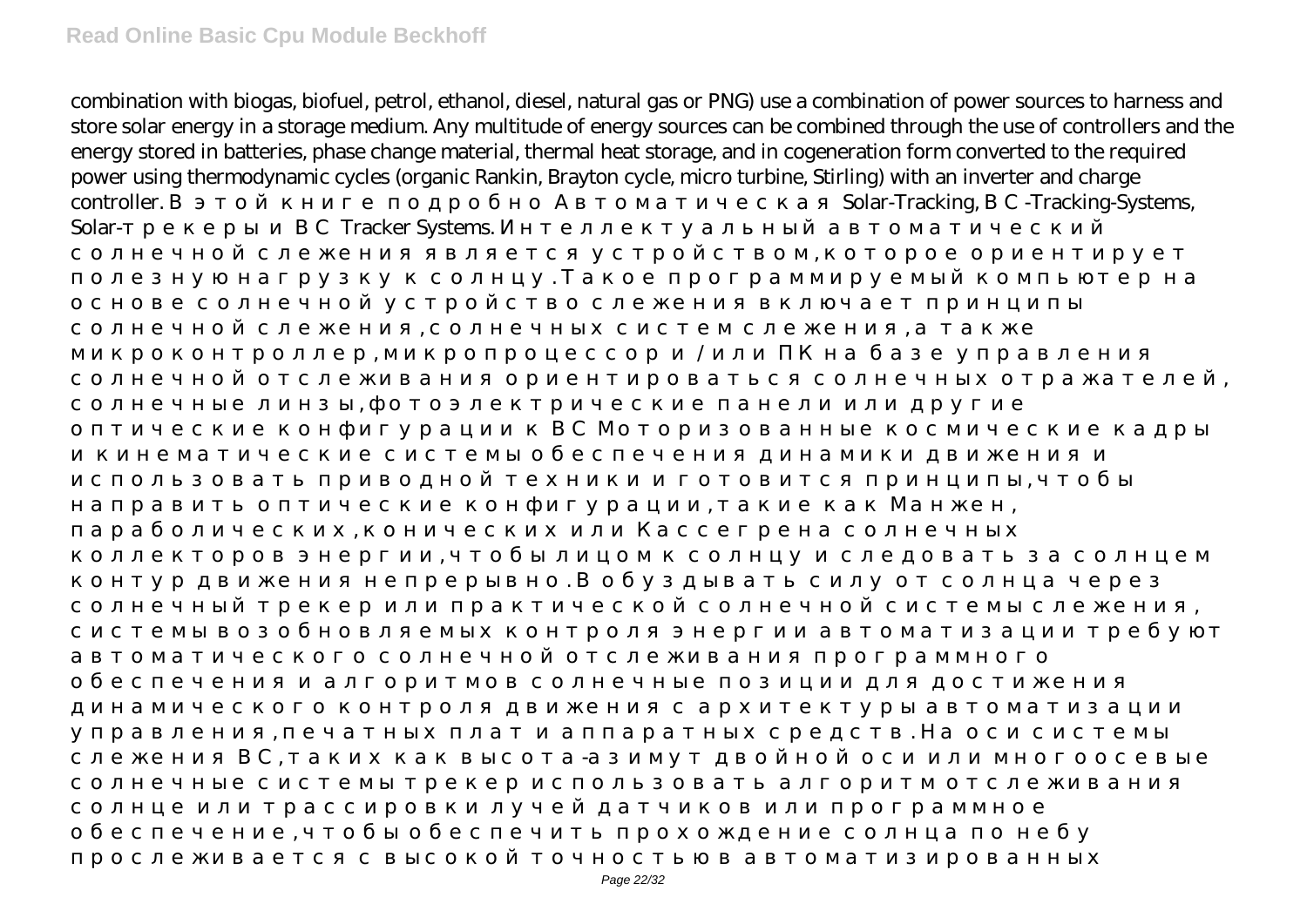combination with biogas, biofuel, petrol, ethanol, diesel, natural gas or PNG) use a combination of power sources to harness and store solar energy in a storage medium. Any multitude of energy sources can be combined through the use of controllers and the energy stored in batteries, phase change material, thermal heat storage, and in cogeneration form converted to the required power using thermodynamic cycles (organic Rankin, Brayton cycle, micro turbine, Stirling) with an inverter and charge controller. a state of the state of the solar-Tracking, a state of the Solar-Tracking, a state of the Systems, Solar-<br>Tracker Systems.

солнечной слежения является устройством, которое ориентирует полезную нагрузку к солнцу. Такое программируемый компьютер нагрузку к солнцу. Такое программируемый компьютер<br>Полезную нагрузку к солнцу солнцу солнцу солнцу солнцу солнцу солнцу солнцу солнцу солнцу солнцу солнцу солнцу

микропро $\lambda$ 

использовать приводной техники и готовится приводной техники и готовится при центрипы, чтобытся при принципы, ч

солнечной отслеживания отслеживания отслеживания ориентироваться солнечной солнечной солнечной солнечной солне<br>Солнечной солнечной солнечной солнечной солнечной солнечной солнечной солнечной солнечной солнечной солнечной

 $\theta$ 

контур движения непрерывно. В обуздывать силу от солнца через непрерывно. В обуздывать силу от солнца через не<br>В обуздывать силу от солнца через непредать силу от солнца через непредать силу от солнца через непредать силу солнечный трекер или практической солнечный системы следуется практической солнечной солнечной системы следуе<br>В солнечной системы следуется практической системы следуется происходит в солнечной системы следуется происход

управления, печатных плат и аппаратных средств. На оси системы

обеспечить про $\mathbf{v}_i$ 

слежения ВС, таких как высота-азимут двойной осигулирования в соответствующего сильной осигулирования или мног<br>В соответство соответство по соответство соответство или много осигулирования в соответство соответство соотве

солнечной слежения, солнечной слежения, а также следуете следуете следуете следуете следуете следуете следуете<br>В также следуете следуете следуете следуете следуете следуете следуете следуете следуете следуете следуете сле

солнечные линзы, фотоэлектрические панели или другие

направить оптические конфигурации, такие как Манжен, параболических и  $\overline{\phantom{a}}$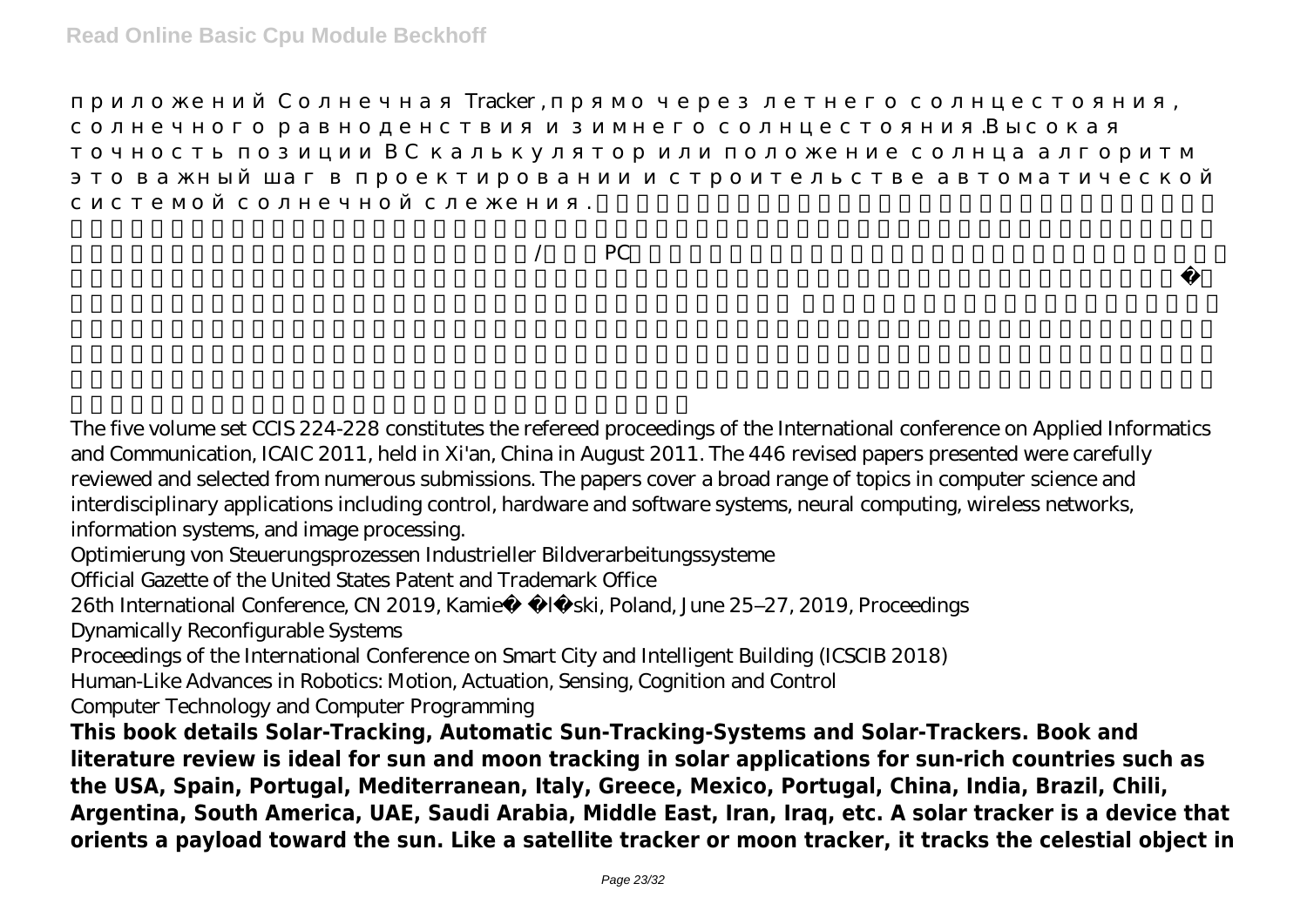приложения Tracker , прямо через летнего солнцестояния, при технологии и солнцестоянно солнцестоянно солнцесто

 $\sqrt{2}$  PC

солнечного равноденствия и зимнего солнцестояния.Высокая

The five volume set CCIS 224-228 constitutes the refereed proceedings of the International conference on Applied Informatics and Communication, ICAIC 2011, held in Xi'an, China in August 2011. The 446 revised papers presented were carefully reviewed and selected from numerous submissions. The papers cover a broad range of topics in computer science and interdisciplinary applications including control, hardware and software systems, neural computing, wireless networks, information systems, and image processing.

системой солнечной слежения. 這本書詳細介紹了全自動太陽能跟踪,太陽跟踪系統的出現,太陽能跟

Optimierung von Steuerungsprozessen Industrieller Bildverarbeitungssysteme

Official Gazette of the United States Patent and Trademark Office

26th International Conference, CN 2019, Kamie *I ski, Poland, June 25–27, 2019, Proceedings* 

Dynamically Reconfigurable Systems

Proceedings of the International Conference on Smart City and Intelligent Building (ICSCIB 2018)

Human-Like Advances in Robotics: Motion, Actuation, Sensing, Cognition and Control

Computer Technology and Computer Programming

**This book details Solar-Tracking, Automatic Sun-Tracking-Systems and Solar-Trackers. Book and literature review is ideal for sun and moon tracking in solar applications for sun-rich countries such as the USA, Spain, Portugal, Mediterranean, Italy, Greece, Mexico, Portugal, China, India, Brazil, Chili, Argentina, South America, UAE, Saudi Arabia, Middle East, Iran, Iraq, etc. A solar tracker is a device that orients a payload toward the sun. Like a satellite tracker or moon tracker, it tracks the celestial object in**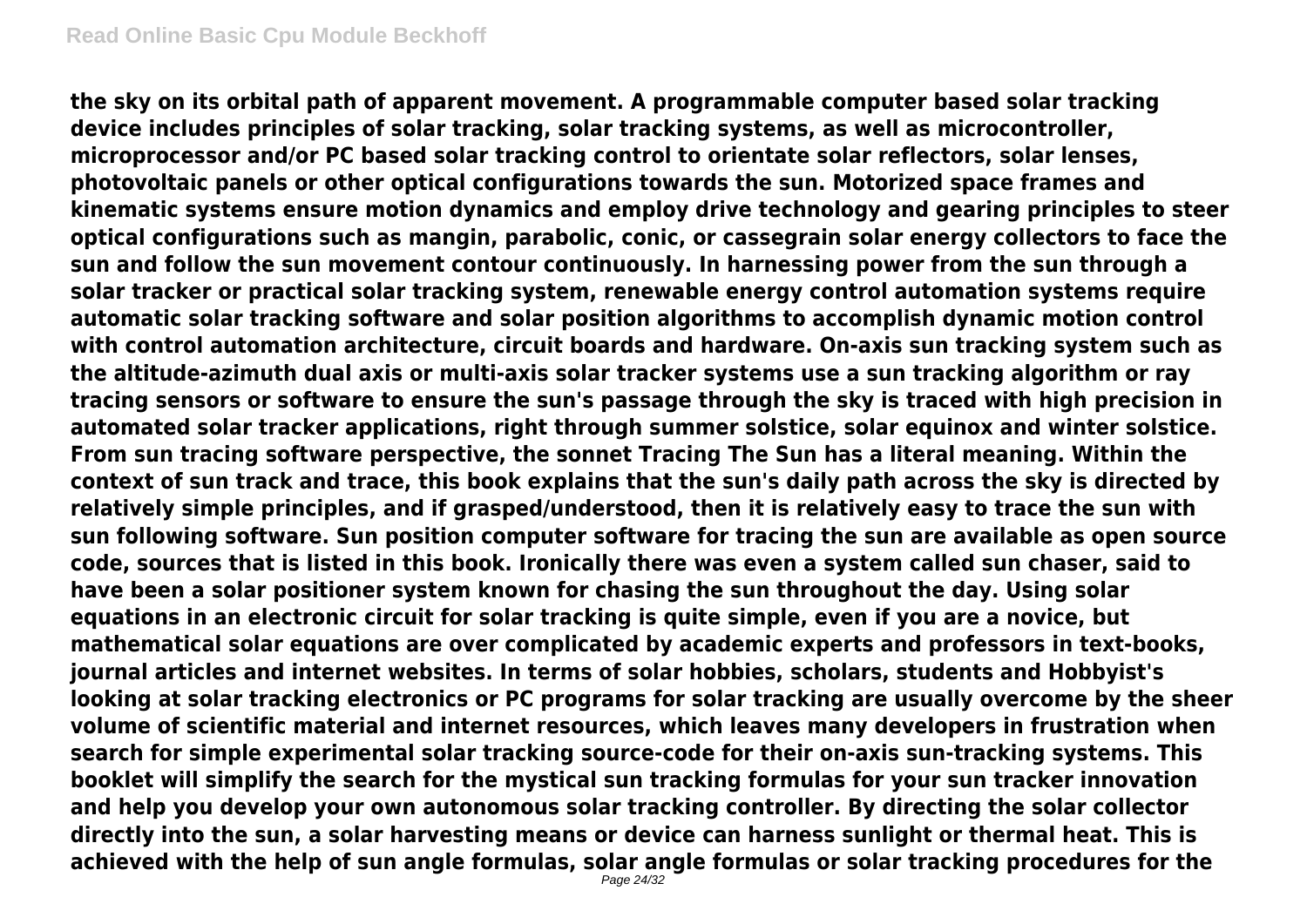**the sky on its orbital path of apparent movement. A programmable computer based solar tracking device includes principles of solar tracking, solar tracking systems, as well as microcontroller, microprocessor and/or PC based solar tracking control to orientate solar reflectors, solar lenses, photovoltaic panels or other optical configurations towards the sun. Motorized space frames and kinematic systems ensure motion dynamics and employ drive technology and gearing principles to steer optical configurations such as mangin, parabolic, conic, or cassegrain solar energy collectors to face the sun and follow the sun movement contour continuously. In harnessing power from the sun through a solar tracker or practical solar tracking system, renewable energy control automation systems require automatic solar tracking software and solar position algorithms to accomplish dynamic motion control with control automation architecture, circuit boards and hardware. On-axis sun tracking system such as the altitude-azimuth dual axis or multi-axis solar tracker systems use a sun tracking algorithm or ray tracing sensors or software to ensure the sun's passage through the sky is traced with high precision in automated solar tracker applications, right through summer solstice, solar equinox and winter solstice. From sun tracing software perspective, the sonnet Tracing The Sun has a literal meaning. Within the context of sun track and trace, this book explains that the sun's daily path across the sky is directed by relatively simple principles, and if grasped/understood, then it is relatively easy to trace the sun with sun following software. Sun position computer software for tracing the sun are available as open source code, sources that is listed in this book. Ironically there was even a system called sun chaser, said to have been a solar positioner system known for chasing the sun throughout the day. Using solar equations in an electronic circuit for solar tracking is quite simple, even if you are a novice, but mathematical solar equations are over complicated by academic experts and professors in text-books, journal articles and internet websites. In terms of solar hobbies, scholars, students and Hobbyist's looking at solar tracking electronics or PC programs for solar tracking are usually overcome by the sheer volume of scientific material and internet resources, which leaves many developers in frustration when search for simple experimental solar tracking source-code for their on-axis sun-tracking systems. This booklet will simplify the search for the mystical sun tracking formulas for your sun tracker innovation and help you develop your own autonomous solar tracking controller. By directing the solar collector directly into the sun, a solar harvesting means or device can harness sunlight or thermal heat. This is achieved with the help of sun angle formulas, solar angle formulas or solar tracking procedures for the**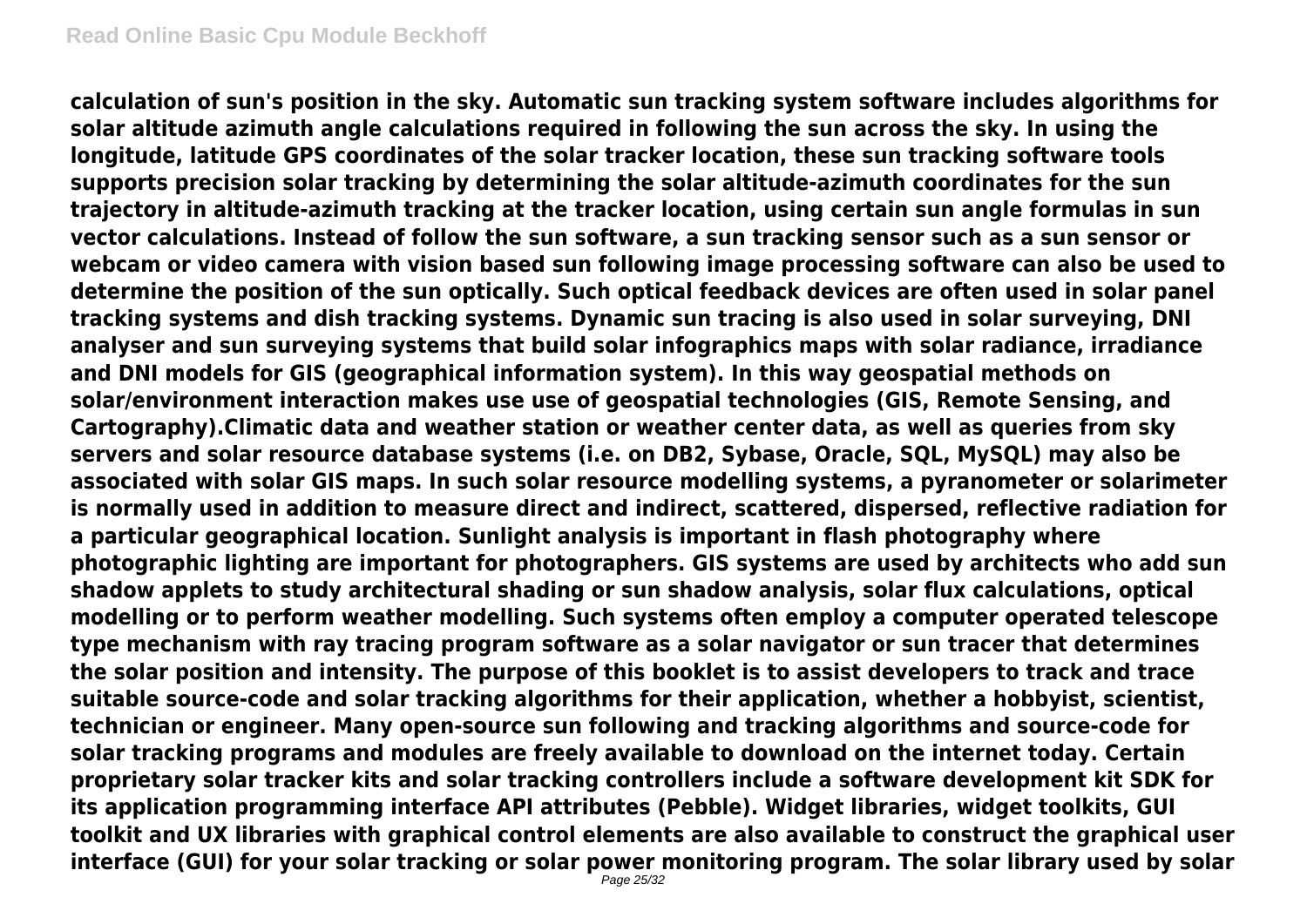**calculation of sun's position in the sky. Automatic sun tracking system software includes algorithms for solar altitude azimuth angle calculations required in following the sun across the sky. In using the longitude, latitude GPS coordinates of the solar tracker location, these sun tracking software tools supports precision solar tracking by determining the solar altitude-azimuth coordinates for the sun trajectory in altitude-azimuth tracking at the tracker location, using certain sun angle formulas in sun vector calculations. Instead of follow the sun software, a sun tracking sensor such as a sun sensor or webcam or video camera with vision based sun following image processing software can also be used to determine the position of the sun optically. Such optical feedback devices are often used in solar panel tracking systems and dish tracking systems. Dynamic sun tracing is also used in solar surveying, DNI analyser and sun surveying systems that build solar infographics maps with solar radiance, irradiance and DNI models for GIS (geographical information system). In this way geospatial methods on solar/environment interaction makes use use of geospatial technologies (GIS, Remote Sensing, and Cartography).Climatic data and weather station or weather center data, as well as queries from sky servers and solar resource database systems (i.e. on DB2, Sybase, Oracle, SQL, MySQL) may also be associated with solar GIS maps. In such solar resource modelling systems, a pyranometer or solarimeter is normally used in addition to measure direct and indirect, scattered, dispersed, reflective radiation for a particular geographical location. Sunlight analysis is important in flash photography where photographic lighting are important for photographers. GIS systems are used by architects who add sun shadow applets to study architectural shading or sun shadow analysis, solar flux calculations, optical modelling or to perform weather modelling. Such systems often employ a computer operated telescope type mechanism with ray tracing program software as a solar navigator or sun tracer that determines the solar position and intensity. The purpose of this booklet is to assist developers to track and trace suitable source-code and solar tracking algorithms for their application, whether a hobbyist, scientist, technician or engineer. Many open-source sun following and tracking algorithms and source-code for solar tracking programs and modules are freely available to download on the internet today. Certain proprietary solar tracker kits and solar tracking controllers include a software development kit SDK for its application programming interface API attributes (Pebble). Widget libraries, widget toolkits, GUI toolkit and UX libraries with graphical control elements are also available to construct the graphical user interface (GUI) for your solar tracking or solar power monitoring program. The solar library used by solar**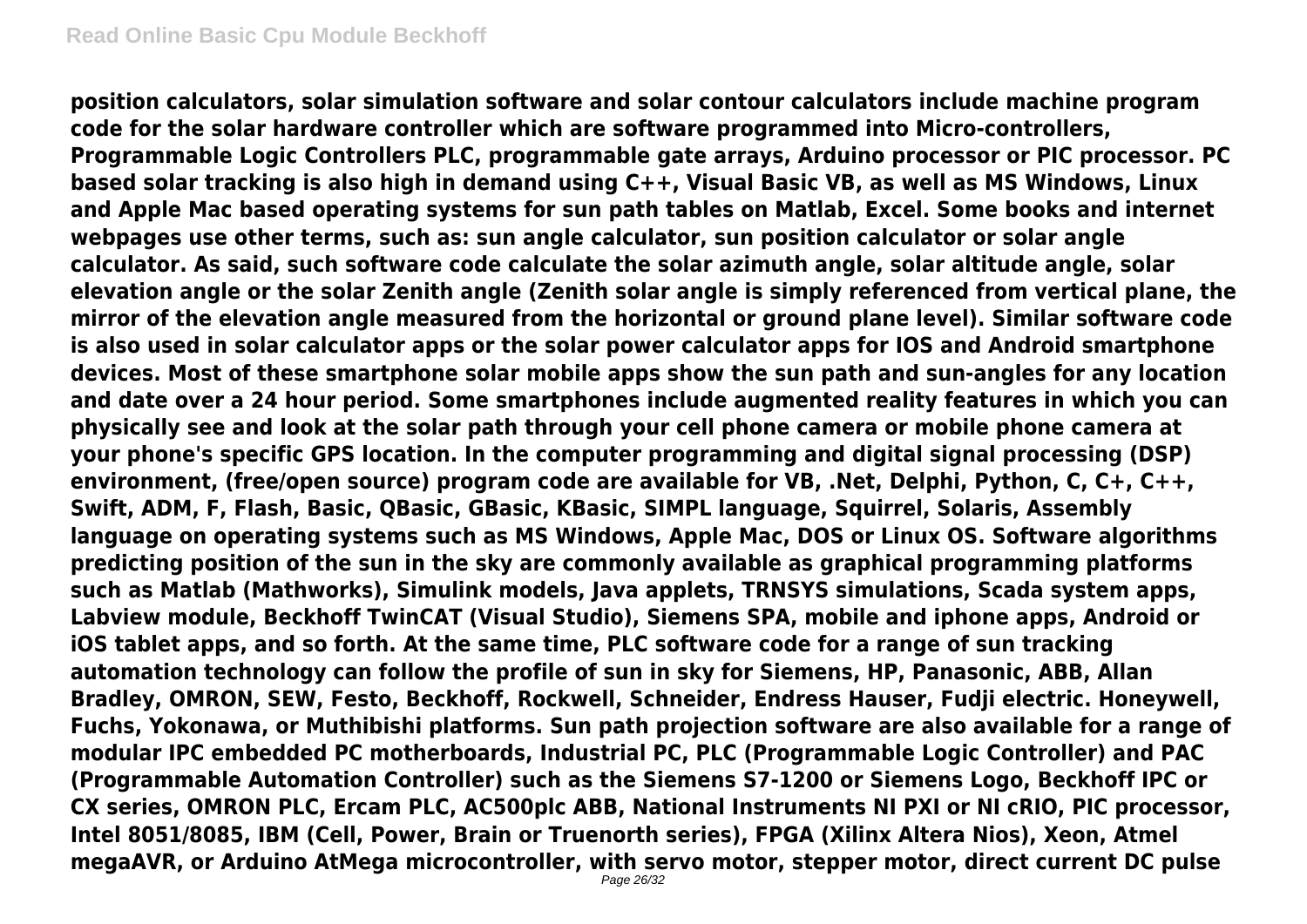**position calculators, solar simulation software and solar contour calculators include machine program code for the solar hardware controller which are software programmed into Micro-controllers, Programmable Logic Controllers PLC, programmable gate arrays, Arduino processor or PIC processor. PC based solar tracking is also high in demand using C++, Visual Basic VB, as well as MS Windows, Linux and Apple Mac based operating systems for sun path tables on Matlab, Excel. Some books and internet webpages use other terms, such as: sun angle calculator, sun position calculator or solar angle calculator. As said, such software code calculate the solar azimuth angle, solar altitude angle, solar elevation angle or the solar Zenith angle (Zenith solar angle is simply referenced from vertical plane, the mirror of the elevation angle measured from the horizontal or ground plane level). Similar software code is also used in solar calculator apps or the solar power calculator apps for IOS and Android smartphone devices. Most of these smartphone solar mobile apps show the sun path and sun-angles for any location and date over a 24 hour period. Some smartphones include augmented reality features in which you can physically see and look at the solar path through your cell phone camera or mobile phone camera at your phone's specific GPS location. In the computer programming and digital signal processing (DSP) environment, (free/open source) program code are available for VB, .Net, Delphi, Python, C, C+, C++, Swift, ADM, F, Flash, Basic, QBasic, GBasic, KBasic, SIMPL language, Squirrel, Solaris, Assembly language on operating systems such as MS Windows, Apple Mac, DOS or Linux OS. Software algorithms predicting position of the sun in the sky are commonly available as graphical programming platforms such as Matlab (Mathworks), Simulink models, Java applets, TRNSYS simulations, Scada system apps, Labview module, Beckhoff TwinCAT (Visual Studio), Siemens SPA, mobile and iphone apps, Android or iOS tablet apps, and so forth. At the same time, PLC software code for a range of sun tracking automation technology can follow the profile of sun in sky for Siemens, HP, Panasonic, ABB, Allan Bradley, OMRON, SEW, Festo, Beckhoff, Rockwell, Schneider, Endress Hauser, Fudji electric. Honeywell, Fuchs, Yokonawa, or Muthibishi platforms. Sun path projection software are also available for a range of modular IPC embedded PC motherboards, Industrial PC, PLC (Programmable Logic Controller) and PAC (Programmable Automation Controller) such as the Siemens S7-1200 or Siemens Logo, Beckhoff IPC or CX series, OMRON PLC, Ercam PLC, AC500plc ABB, National Instruments NI PXI or NI cRIO, PIC processor, Intel 8051/8085, IBM (Cell, Power, Brain or Truenorth series), FPGA (Xilinx Altera Nios), Xeon, Atmel megaAVR, or Arduino AtMega microcontroller, with servo motor, stepper motor, direct current DC pulse**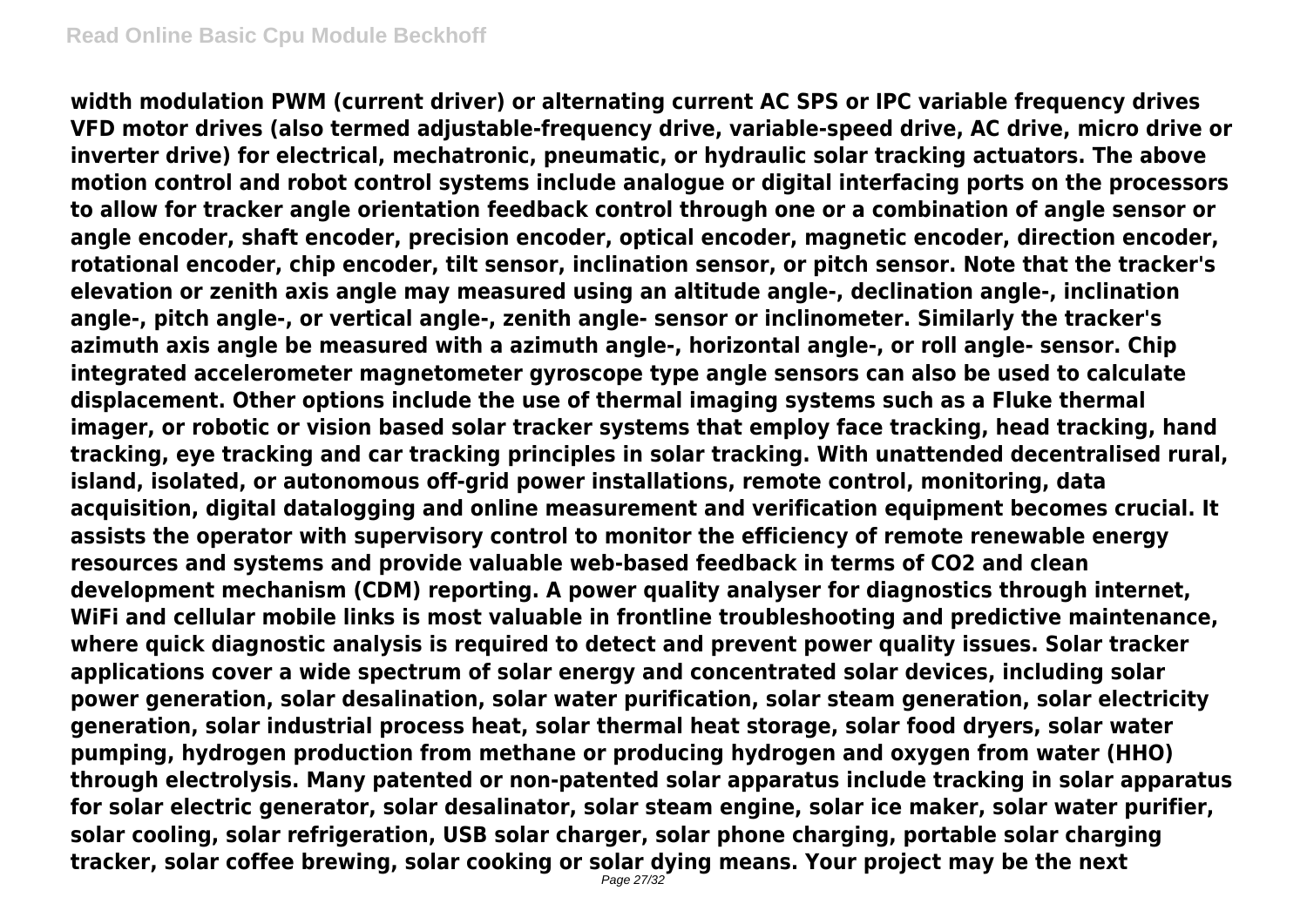**width modulation PWM (current driver) or alternating current AC SPS or IPC variable frequency drives VFD motor drives (also termed adjustable-frequency drive, variable-speed drive, AC drive, micro drive or inverter drive) for electrical, mechatronic, pneumatic, or hydraulic solar tracking actuators. The above motion control and robot control systems include analogue or digital interfacing ports on the processors to allow for tracker angle orientation feedback control through one or a combination of angle sensor or angle encoder, shaft encoder, precision encoder, optical encoder, magnetic encoder, direction encoder, rotational encoder, chip encoder, tilt sensor, inclination sensor, or pitch sensor. Note that the tracker's elevation or zenith axis angle may measured using an altitude angle-, declination angle-, inclination angle-, pitch angle-, or vertical angle-, zenith angle- sensor or inclinometer. Similarly the tracker's azimuth axis angle be measured with a azimuth angle-, horizontal angle-, or roll angle- sensor. Chip integrated accelerometer magnetometer gyroscope type angle sensors can also be used to calculate displacement. Other options include the use of thermal imaging systems such as a Fluke thermal imager, or robotic or vision based solar tracker systems that employ face tracking, head tracking, hand tracking, eye tracking and car tracking principles in solar tracking. With unattended decentralised rural, island, isolated, or autonomous off-grid power installations, remote control, monitoring, data acquisition, digital datalogging and online measurement and verification equipment becomes crucial. It assists the operator with supervisory control to monitor the efficiency of remote renewable energy resources and systems and provide valuable web-based feedback in terms of CO2 and clean development mechanism (CDM) reporting. A power quality analyser for diagnostics through internet, WiFi and cellular mobile links is most valuable in frontline troubleshooting and predictive maintenance, where quick diagnostic analysis is required to detect and prevent power quality issues. Solar tracker applications cover a wide spectrum of solar energy and concentrated solar devices, including solar power generation, solar desalination, solar water purification, solar steam generation, solar electricity generation, solar industrial process heat, solar thermal heat storage, solar food dryers, solar water pumping, hydrogen production from methane or producing hydrogen and oxygen from water (HHO) through electrolysis. Many patented or non-patented solar apparatus include tracking in solar apparatus for solar electric generator, solar desalinator, solar steam engine, solar ice maker, solar water purifier, solar cooling, solar refrigeration, USB solar charger, solar phone charging, portable solar charging tracker, solar coffee brewing, solar cooking or solar dying means. Your project may be the next**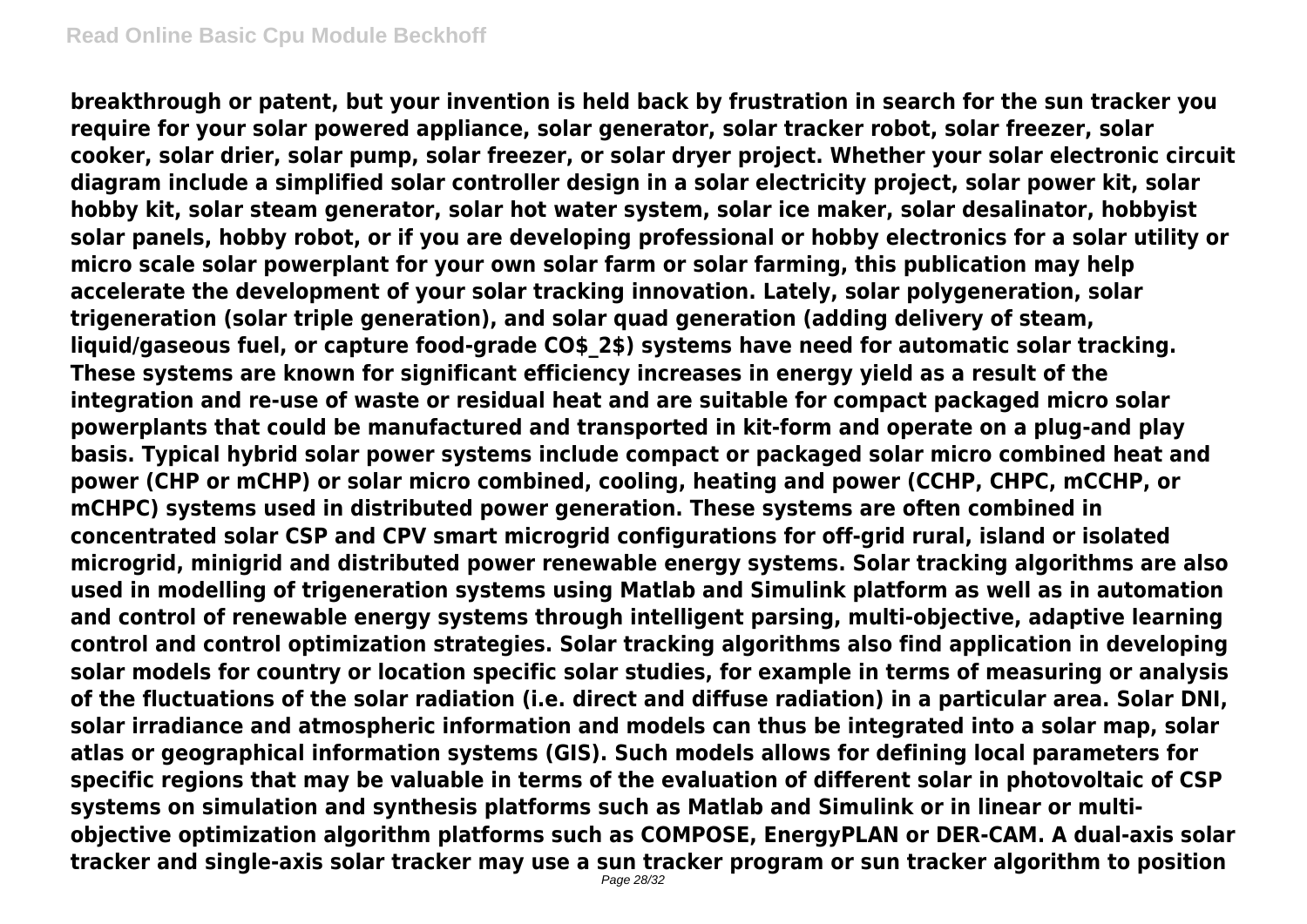**breakthrough or patent, but your invention is held back by frustration in search for the sun tracker you require for your solar powered appliance, solar generator, solar tracker robot, solar freezer, solar cooker, solar drier, solar pump, solar freezer, or solar dryer project. Whether your solar electronic circuit diagram include a simplified solar controller design in a solar electricity project, solar power kit, solar hobby kit, solar steam generator, solar hot water system, solar ice maker, solar desalinator, hobbyist solar panels, hobby robot, or if you are developing professional or hobby electronics for a solar utility or micro scale solar powerplant for your own solar farm or solar farming, this publication may help accelerate the development of your solar tracking innovation. Lately, solar polygeneration, solar trigeneration (solar triple generation), and solar quad generation (adding delivery of steam, liquid/gaseous fuel, or capture food-grade CO\$\_2\$) systems have need for automatic solar tracking. These systems are known for significant efficiency increases in energy yield as a result of the integration and re-use of waste or residual heat and are suitable for compact packaged micro solar powerplants that could be manufactured and transported in kit-form and operate on a plug-and play basis. Typical hybrid solar power systems include compact or packaged solar micro combined heat and power (CHP or mCHP) or solar micro combined, cooling, heating and power (CCHP, CHPC, mCCHP, or mCHPC) systems used in distributed power generation. These systems are often combined in concentrated solar CSP and CPV smart microgrid configurations for off-grid rural, island or isolated microgrid, minigrid and distributed power renewable energy systems. Solar tracking algorithms are also used in modelling of trigeneration systems using Matlab and Simulink platform as well as in automation and control of renewable energy systems through intelligent parsing, multi-objective, adaptive learning control and control optimization strategies. Solar tracking algorithms also find application in developing solar models for country or location specific solar studies, for example in terms of measuring or analysis of the fluctuations of the solar radiation (i.e. direct and diffuse radiation) in a particular area. Solar DNI, solar irradiance and atmospheric information and models can thus be integrated into a solar map, solar atlas or geographical information systems (GIS). Such models allows for defining local parameters for specific regions that may be valuable in terms of the evaluation of different solar in photovoltaic of CSP systems on simulation and synthesis platforms such as Matlab and Simulink or in linear or multiobjective optimization algorithm platforms such as COMPOSE, EnergyPLAN or DER-CAM. A dual-axis solar tracker and single-axis solar tracker may use a sun tracker program or sun tracker algorithm to position**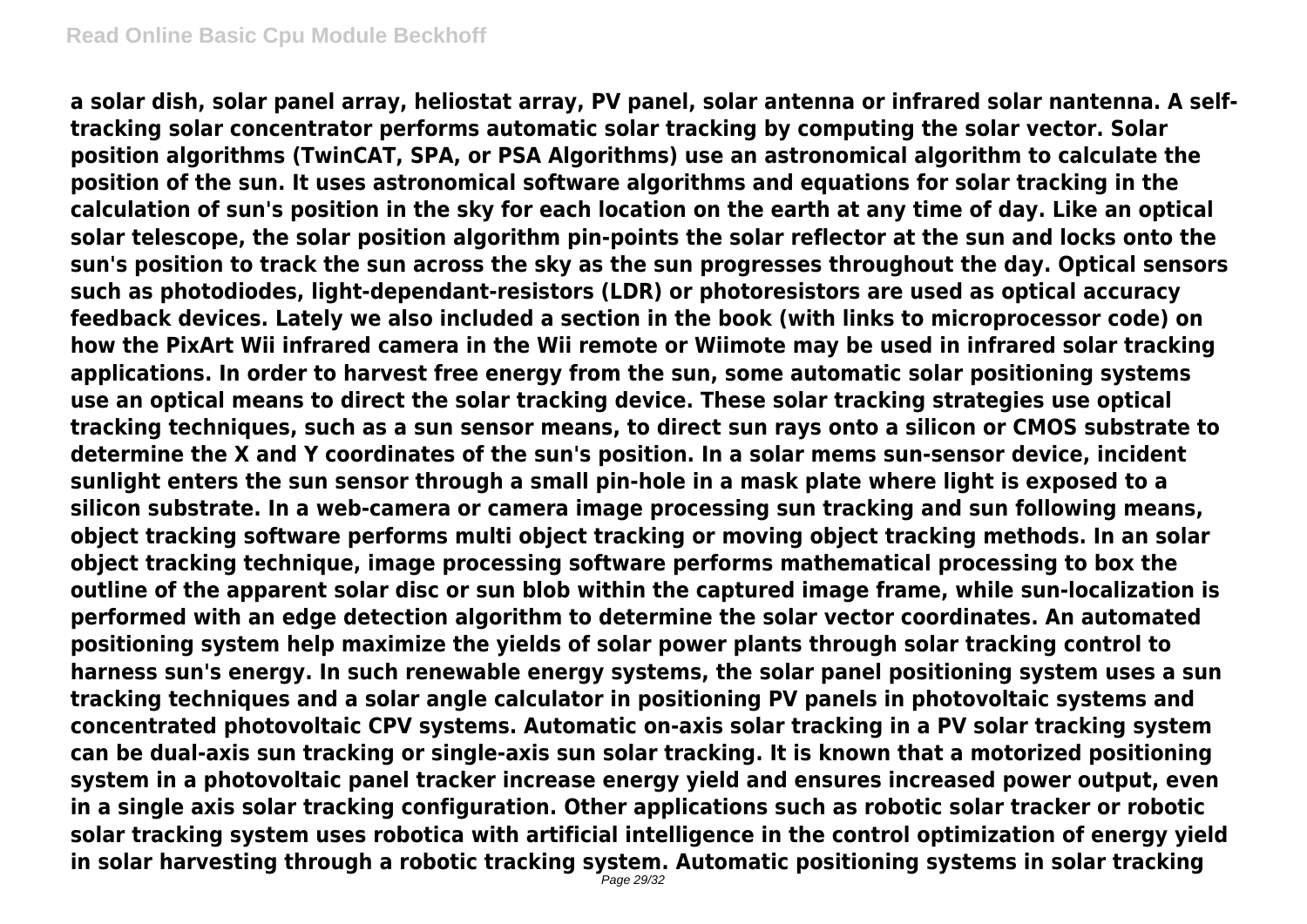**a solar dish, solar panel array, heliostat array, PV panel, solar antenna or infrared solar nantenna. A selftracking solar concentrator performs automatic solar tracking by computing the solar vector. Solar position algorithms (TwinCAT, SPA, or PSA Algorithms) use an astronomical algorithm to calculate the position of the sun. It uses astronomical software algorithms and equations for solar tracking in the calculation of sun's position in the sky for each location on the earth at any time of day. Like an optical solar telescope, the solar position algorithm pin-points the solar reflector at the sun and locks onto the sun's position to track the sun across the sky as the sun progresses throughout the day. Optical sensors such as photodiodes, light-dependant-resistors (LDR) or photoresistors are used as optical accuracy feedback devices. Lately we also included a section in the book (with links to microprocessor code) on how the PixArt Wii infrared camera in the Wii remote or Wiimote may be used in infrared solar tracking applications. In order to harvest free energy from the sun, some automatic solar positioning systems use an optical means to direct the solar tracking device. These solar tracking strategies use optical tracking techniques, such as a sun sensor means, to direct sun rays onto a silicon or CMOS substrate to determine the X and Y coordinates of the sun's position. In a solar mems sun-sensor device, incident sunlight enters the sun sensor through a small pin-hole in a mask plate where light is exposed to a silicon substrate. In a web-camera or camera image processing sun tracking and sun following means, object tracking software performs multi object tracking or moving object tracking methods. In an solar object tracking technique, image processing software performs mathematical processing to box the outline of the apparent solar disc or sun blob within the captured image frame, while sun-localization is performed with an edge detection algorithm to determine the solar vector coordinates. An automated positioning system help maximize the yields of solar power plants through solar tracking control to harness sun's energy. In such renewable energy systems, the solar panel positioning system uses a sun tracking techniques and a solar angle calculator in positioning PV panels in photovoltaic systems and concentrated photovoltaic CPV systems. Automatic on-axis solar tracking in a PV solar tracking system can be dual-axis sun tracking or single-axis sun solar tracking. It is known that a motorized positioning system in a photovoltaic panel tracker increase energy yield and ensures increased power output, even in a single axis solar tracking configuration. Other applications such as robotic solar tracker or robotic solar tracking system uses robotica with artificial intelligence in the control optimization of energy yield in solar harvesting through a robotic tracking system. Automatic positioning systems in solar tracking**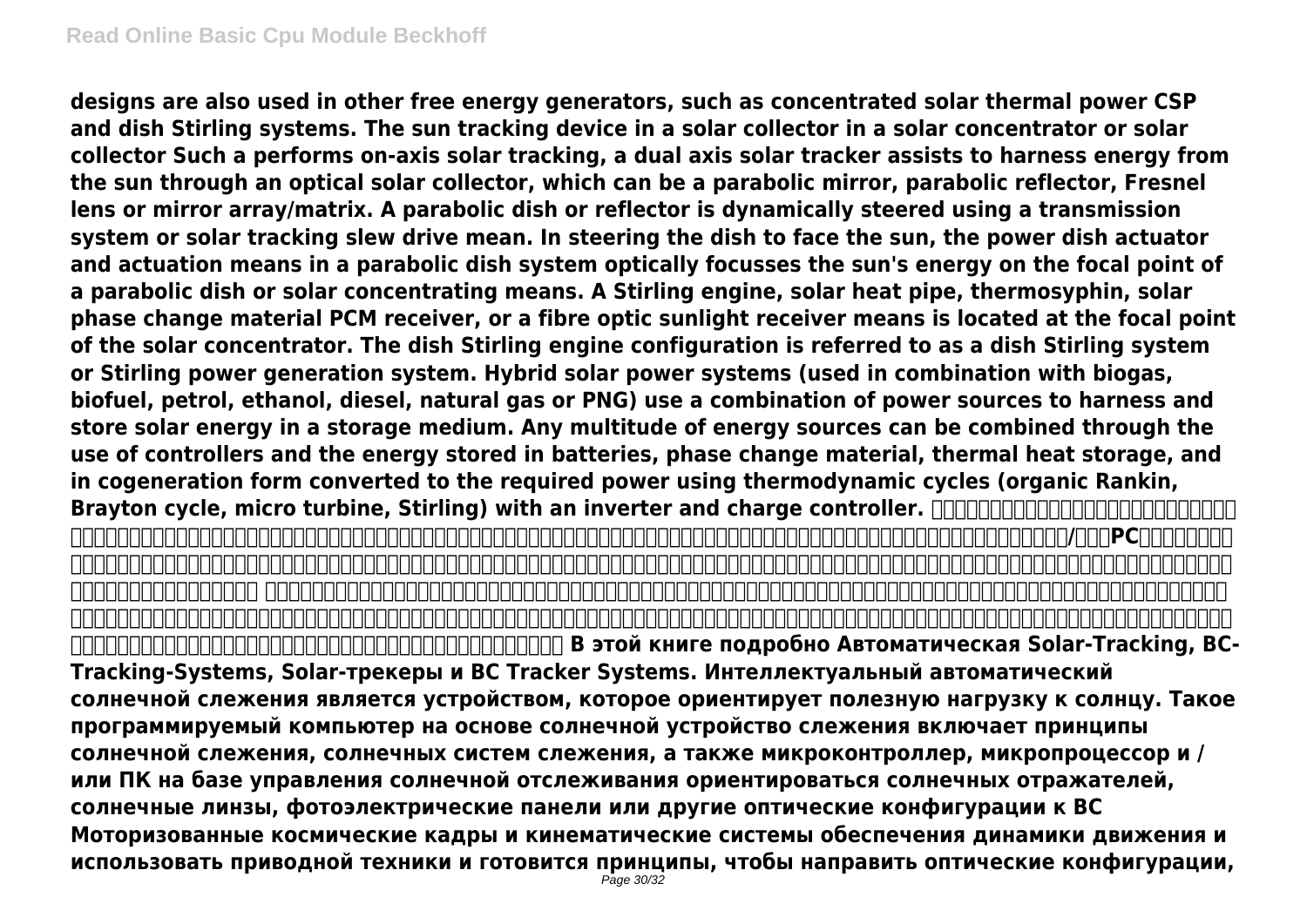**designs are also used in other free energy generators, such as concentrated solar thermal power CSP and dish Stirling systems. The sun tracking device in a solar collector in a solar concentrator or solar collector Such a performs on-axis solar tracking, a dual axis solar tracker assists to harness energy from the sun through an optical solar collector, which can be a parabolic mirror, parabolic reflector, Fresnel lens or mirror array/matrix. A parabolic dish or reflector is dynamically steered using a transmission system or solar tracking slew drive mean. In steering the dish to face the sun, the power dish actuator and actuation means in a parabolic dish system optically focusses the sun's energy on the focal point of a parabolic dish or solar concentrating means. A Stirling engine, solar heat pipe, thermosyphin, solar phase change material PCM receiver, or a fibre optic sunlight receiver means is located at the focal point of the solar concentrator. The dish Stirling engine configuration is referred to as a dish Stirling system or Stirling power generation system. Hybrid solar power systems (used in combination with biogas, biofuel, petrol, ethanol, diesel, natural gas or PNG) use a combination of power sources to harness and store solar energy in a storage medium. Any multitude of energy sources can be combined through the use of controllers and the energy stored in batteries, phase change material, thermal heat storage, and in cogeneration form converted to the required power using thermodynamic cycles (organic Rankin, Brayton cycle, micro turbine, Stirling) with an inverter and charge controller.**  $\Box$ **,太阳能跟踪器和太阳跟踪系统。智能全自动太阳能跟踪器是定向向着太阳的有效载荷设备。这种可编程计算机的太阳能跟踪装置,包括太阳跟踪,太阳能跟踪系统,以及微控制器,微处理器和/或基于PC机的太阳跟踪控制 ,以定向太阳能反射器,太阳透镜,光电板或其他光学配置朝向太阳的原理。机动空间框架和运动系统,确保运动动力学和采用的驱动技术和传动原理引导光学配置,如曼金,抛物线,圆锥曲线,或卡塞格林式太阳能集热器面 向太阳,不断跟随太阳运动的轮廓。 从阳光透过太阳能跟踪器或实用的太阳能跟踪系统利用电力,可再生能源控制的自动化系统需要自动太阳跟踪软件和太阳位置算法来实现控制与自动化架构,电路板和硬件的动态运动控制 。上轴太阳跟踪系统,如高度,方位角双轴或多轴太阳跟踪系统使用太阳跟踪算法或光线追踪传感器或软件,以确保通过天空中太阳的通道被跟踪的高精度的自动太阳跟踪器的应用,通过正确的夏至,春分太阳和冬至。一种高**  ${\color{red}\textbf{OPT}}{\color{red}\textbf{OPT}}{\color{red}\textbf{OPT}}{\color{red}\textbf{OPT}}{\color{red}\textbf{OPT}}{\color{red}\textbf{OPT}}{\color{red}\textbf{OPT}}{\color{red}\textbf{OPT}}{\color{red}\textbf{OPT}}{\color{red}\textbf{OPT}}{\color{red}\textbf{OPT}}{\color{red}\textbf{OPT}}{\color{red}\textbf{OPT}}{\color{red}\textbf{OPT}}{\color{red}\textbf{OPT}}{\color{red}\textbf{OPT}}{\color{red}\textbf{OPT}}{\color{red}\textbf{OPT}}{\color{red}\textbf{OPT}}{\color{red}\textbf{OPT}}{\color{red}\textbf{OPT}}{\color{red}\textbf{OPT}}$ **Tracking-Systems, Solar-трекеры и ВС Tracker Systems. Интеллектуальный автоматический солнечной слежения является устройством, которое ориентирует полезную нагрузку к солнцу. Такое программируемый компьютер на основе солнечной устройство слежения включает принципы солнечной слежения, солнечных систем слежения, а также микроконтроллер, микропроцессор и / или ПК на базе управления солнечной отслеживания ориентироваться солнечных отражателей,**

**солнечные линзы, фотоэлектрические панели или другие оптические конфигурации к ВС Моторизованные космические кадры и кинематические системы обеспечения динамики движения и использовать приводной техники и готовится принципы, чтобы направить оптические конфигурации,**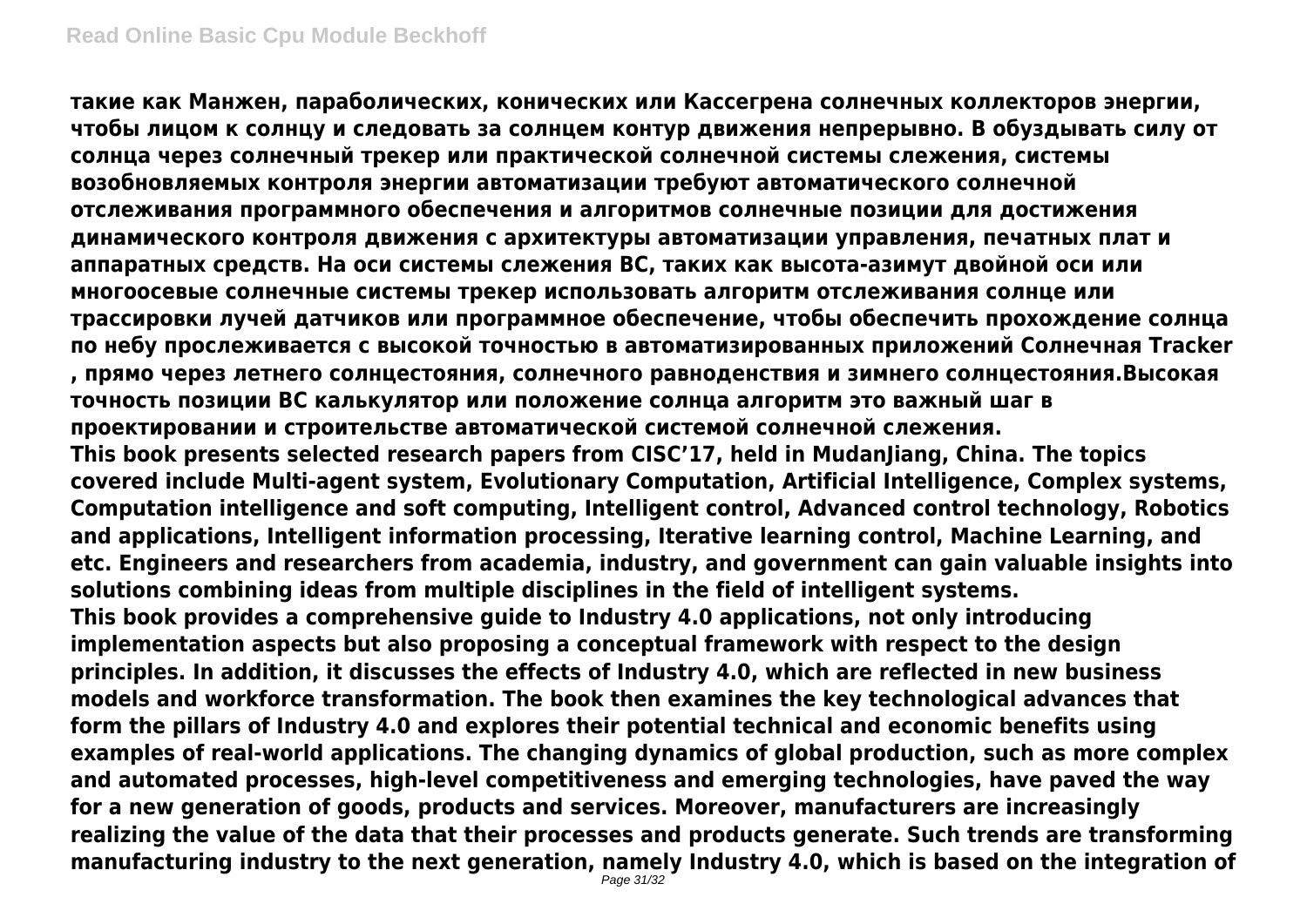**такие как Манжен, параболических, конических или Кассегрена солнечных коллекторов энергии, чтобы лицом к солнцу и следовать за солнцем контур движения непрерывно. В обуздывать силу от солнца через солнечный трекер или практической солнечной системы слежения, системы возобновляемых контроля энергии автоматизации требуют автоматического солнечной отслеживания программного обеспечения и алгоритмов солнечные позиции для достижения динамического контроля движения с архитектуры автоматизации управления, печатных плат и аппаратных средств. На оси системы слежения ВС, таких как высота-азимут двойной оси или многоосевые солнечные системы трекер использовать алгоритм отслеживания солнце или трассировки лучей датчиков или программное обеспечение, чтобы обеспечить прохождение солнца по небу прослеживается с высокой точностью в автоматизированных приложений Солнечная Tracker , прямо через летнего солнцестояния, солнечного равноденствия и зимнего солнцестояния.Высокая точность позиции ВС калькулятор или положение солнца алгоритм это важный шаг в проектировании и строительстве автоматической системой солнечной слежения. This book presents selected research papers from CISC'17, held in MudanJiang, China. The topics covered include Multi-agent system, Evolutionary Computation, Artificial Intelligence, Complex systems, Computation intelligence and soft computing, Intelligent control, Advanced control technology, Robotics and applications, Intelligent information processing, Iterative learning control, Machine Learning, and etc. Engineers and researchers from academia, industry, and government can gain valuable insights into solutions combining ideas from multiple disciplines in the field of intelligent systems. This book provides a comprehensive guide to Industry 4.0 applications, not only introducing implementation aspects but also proposing a conceptual framework with respect to the design principles. In addition, it discusses the effects of Industry 4.0, which are reflected in new business models and workforce transformation. The book then examines the key technological advances that form the pillars of Industry 4.0 and explores their potential technical and economic benefits using examples of real-world applications. The changing dynamics of global production, such as more complex and automated processes, high-level competitiveness and emerging technologies, have paved the way for a new generation of goods, products and services. Moreover, manufacturers are increasingly realizing the value of the data that their processes and products generate. Such trends are transforming manufacturing industry to the next generation, namely Industry 4.0, which is based on the integration of**